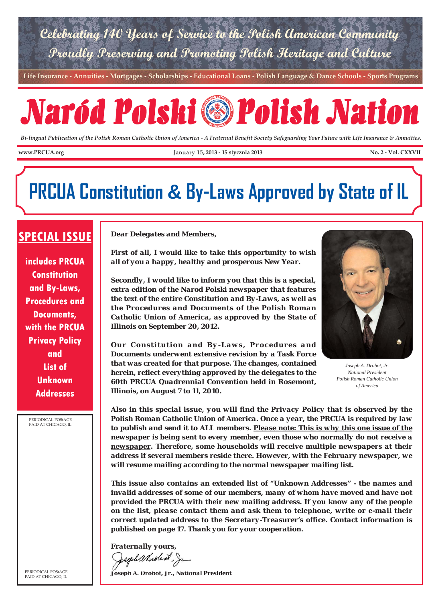

**Life Insurance - Annuities - Mortgages - Scholarships - Educational Loans - Polish Language & Dance Schools - Sports Programs**

# Naród Polski Polish Nation

*Bi-lingual Publication of the Polish Roman Catholic Union of America - A Fraternal Benefit Society Safeguarding Your Future with Life Insurance & Annuities.*

www.PRCUA.org **No. 2 - Vol. CXXVII** January 15, 2013 - 15 stycznia 2013 No. 2 - Vol. CXXVII

# **PRCUA Constitution & By-Laws Approved by State of IL**

# **SPECIAL ISSUE**

**includes PRCUA Constitution and By-Laws, Procedures and Documents, with the PRCUA Privacy Policy and List of Unknown Addresses**

PERIODICAL POStAGE PAID AT CHICAGO, IL

PERIODICAL POStAGE PAID AT CHICAGO, IL

*Dear Delegates and Members,* 

*First of all, I would like to take this opportunity to wish all of you a happy, healthy and prosperous New Year.* 

*Secondly, I would like to inform you that this is a special, extra edition of the Narod Polski newspaper that features the text of the entire Constitution and By-Laws, as well as the Procedures and Documents of the Polish Roman Catholic Union of America, as approved by the State of Illinois on September 20, 2012.*

*Our Constitution and By-Laws, Procedures and Documents underwent extensive revision by a Task Force that was created for that purpose. The changes, contained herein, reflect everything approved by the delegates to the 60th PRCUA Quadrennial Convention held in Rosemont, Illinois, on August 7 to 11, 2010.*



*Joseph A. Drobot, Jr. National President Polish Roman Catholic Union of America*

*Also in this special issue, you will find the Privacy Policy that is observed by the Polish Roman Catholic Union of America. Once a year, the PRCUA is required by law to publish and send it to ALL members. Please note: This is why this one issue of the newspaper is being sent to every member, even those who normally do not receive a newspaper. Therefore, some households will receive multiple newspapers at their address if several members reside there. However, with the February newspaper, we will resume mailing according to the normal newspaper mailing list.*

*This issue also contains an extended list of "Unknown Addresses" - the names and invalid addresses of some of our members, many of whom have moved and have not provided the PRCUA with their new mailing address. If you know any of the people on the list, please contact them and ask them to telephone, write or e-mail their correct updated address to the Secretary-Treasurer's office. Contact information is published on page 17. Thank you for your cooperation.*

*Fraternally yours,* Sesphanded, Ja

*Joseph A. Drobot, Jr., National President*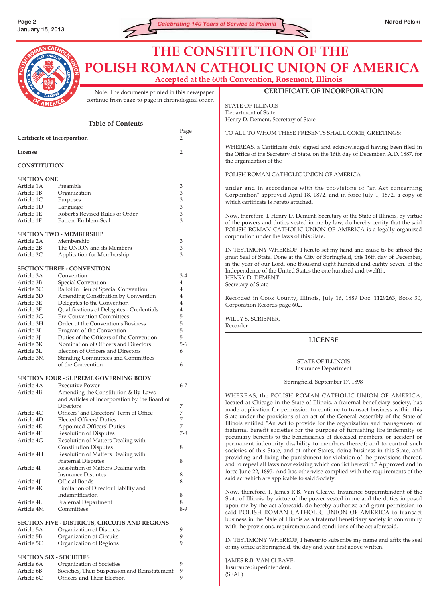

# **CERTIFICATE OF INCORPORATION THE CONSTITUTION OF THE POLISH ROMAN CATHOLIC UNION OF AMERICA Accepted at the 60th Convention, Rosemont, Illinois**

STATE OF ILLINOIS Department of State

Henry D. Dement, Secretary of State

Note: The documents printed in this newspaper continue from page-to-page in chronological order.

| <b>Table of Contents</b> |                                                                              |                             | Henry D. Dement, Secretary of State                                                                                                                                                      |
|--------------------------|------------------------------------------------------------------------------|-----------------------------|------------------------------------------------------------------------------------------------------------------------------------------------------------------------------------------|
|                          | Certificate of Incorporation                                                 | Page                        | TO ALL TO WHOM THESE PRESENTS SHALL COME, GREETINGS:                                                                                                                                     |
| License                  |                                                                              | $\overline{2}$              | WHEREAS, a Certificate duly signed and acknowledged having been filed in<br>the Office of the Secretary of State, on the 16th day of December, A.D. 1887, for<br>the organization of the |
| <b>CONSTITUTION</b>      |                                                                              |                             |                                                                                                                                                                                          |
| <b>SECTION ONE</b>       |                                                                              |                             | POLISH ROMAN CATHOLIC UNION OF AMERICA                                                                                                                                                   |
| Article 1A               | Preamble                                                                     | $\mathfrak{Z}$              | under and in accordance with the provisions of "an Act concerning                                                                                                                        |
| Article 1B               | Organization                                                                 | 3                           | Corporation" approved April 18, 1872, and in force July 1, 1872, a copy of                                                                                                               |
| Article 1C               | Purposes                                                                     | 3                           | which certificate is hereto attached.                                                                                                                                                    |
| Article 1D               | Language                                                                     | 3                           |                                                                                                                                                                                          |
| Article 1E               | Robert's Revised Rules of Order                                              | 3                           | Now, therefore, I, Henry D. Dement, Secretary of the State of Illinois, by virtue                                                                                                        |
| Article 1F               | Patron, Emblem-Seal                                                          | 3                           | of the powers and duties vested in me by law, do hereby certify that the said<br>POLISH ROMAN CATHOLIC UNION OF AMERICA is a legally organized                                           |
|                          | <b>SECTION TWO - MEMBERSHIP</b>                                              |                             | corporation under the laws of this State.                                                                                                                                                |
| Article 2A               | Membership                                                                   | $\ensuremath{\mathfrak{Z}}$ |                                                                                                                                                                                          |
| Article 2B               | The UNION and its Members                                                    | 3<br>3                      | IN TESTIMONY WHEREOF, I hereto set my hand and cause to be affixed the                                                                                                                   |
| Article 2C               | Application for Membership<br><b>SECTION THREE - CONVENTION</b>              |                             | great Seal of State. Done at the City of Springfield, this 16th day of December,<br>in the year of our Lord, one thousand eight hundred and eighty seven, of the                         |
| Article 3A               | Convention                                                                   | $3-4$                       | Independence of the United States the one hundred and twelfth.                                                                                                                           |
| Article 3B               | Special Convention                                                           | 4                           | HENRY D. DEMENT                                                                                                                                                                          |
| Article 3C               | Ballot in Lieu of Special Convention                                         | 4                           | Secretary of State                                                                                                                                                                       |
| Article 3D               | Amending Constitution by Convention                                          | 4                           |                                                                                                                                                                                          |
| Article 3E               | Delegates to the Convention                                                  | $\overline{4}$              | Recorded in Cook County, Illinois, July 16, 1889 Doc. 1129263, Book 30,                                                                                                                  |
| Article 3F               | Qualifications of Delegates - Credentials                                    | $\overline{4}$              | Corporation Records page 602.                                                                                                                                                            |
| Article 3G               | <b>Pre-Convention Committees</b>                                             | 5                           | WILLY S. SCRIBNER,                                                                                                                                                                       |
| Article 3H               | Order of the Convention's Business                                           | 5                           | Recorder                                                                                                                                                                                 |
| Article 3I               | Program of the Convention                                                    | 5                           |                                                                                                                                                                                          |
| Article 3J               | Duties of the Officers of the Convention                                     | 5                           | <b>LICENSE</b>                                                                                                                                                                           |
| Article 3K               | Nomination of Officers and Directors                                         | $5-6$                       |                                                                                                                                                                                          |
| Article 3L               | Election of Officers and Directors                                           | 6                           |                                                                                                                                                                                          |
| Article 3M               | <b>Standing Committees and Committees</b><br>of the Convention               | 6                           | <b>STATE OF ILLINOIS</b><br><b>Insurance Department</b>                                                                                                                                  |
|                          | <b>SECTION FOUR - SUPREME GOVERNING BODY</b>                                 |                             |                                                                                                                                                                                          |
| Article 4A               | <b>Executive Power</b>                                                       | $6 - 7$                     | Springfield, September 17, 1898                                                                                                                                                          |
| Article 4B               | Amending the Constitution & By-Laws                                          |                             |                                                                                                                                                                                          |
|                          | and Articles of Incorporation by the Board of                                |                             | WHEREAS, the POLISH ROMAN CATHOLIC UNION OF AMERICA,                                                                                                                                     |
|                          | Directors                                                                    | 7                           | located at Chicago in the State of Illinois, a fraternal beneficiary society, has                                                                                                        |
| Article 4C               | Officers' and Directors' Term of Office                                      | $\boldsymbol{7}$            | made application for permission to continue to transact business within this<br>State under the provisions of an act of the General Assembly of the State of                             |
| Article 4D               | <b>Elected Officers' Duties</b>                                              | $\boldsymbol{7}$            | Illinois entitled "An Act to provide for the organization and management of                                                                                                              |
| Article 4E               | <b>Appointed Officers' Duties</b>                                            | $\overline{7}$              | fraternal benefit societies for the purpose of furnishing life indemnity of                                                                                                              |
| Article 4F               | <b>Resolution of Disputes</b>                                                | $7 - 8$                     | pecuniary benefits to the beneficiaries of deceased members, or accident or                                                                                                              |
| Article 4G               | Resolution of Matters Dealing with                                           |                             | permanent indemnity disability to members thereof; and to control such                                                                                                                   |
|                          | <b>Constitution Disputes</b>                                                 | 8                           | societies of this State, and of other States, doing business in this State, and                                                                                                          |
| Article 4H               | Resolution of Matters Dealing with                                           | 8                           | providing and fixing the punishment for violation of the provisions thereof,                                                                                                             |
| Article 4I               | <b>Fraternal Disputes</b><br>Resolution of Matters Dealing with              |                             | and to repeal all laws now existing which conflict herewith." Approved and in                                                                                                            |
|                          | <b>Insurance Disputes</b>                                                    | 8                           | force June 22, 1895. And has otherwise complied with the requirements of the                                                                                                             |
| Article 4J               | Official Bonds                                                               | 8                           | said act which are applicable to said Society.                                                                                                                                           |
| Article 4K               | Limitation of Director Liability and                                         |                             |                                                                                                                                                                                          |
|                          | Indemnification                                                              | 8                           | Now, therefore, I, James R.B. Van Cleave, Insurance Superintendent of the                                                                                                                |
| Article 4L               | <b>Fraternal Department</b>                                                  | $8\,$                       | State of Illinois, by virtue of the power vested in me and the duties imposed                                                                                                            |
| Article 4M               | Committees                                                                   | $8-9$                       | upon me by the act aforesaid, do hereby authorize and grant permission to<br>said POLISH ROMAN CATHOLIC UNION OF AMERICA to transact                                                     |
|                          | SECTION FIVE - DISTRICTS, CIRCUITS AND REGIONS                               |                             | business in the State of Illinois as a fraternal beneficiary society in conformity                                                                                                       |
| Article 5A               | Organization of Districts                                                    | 9                           | with the provisions, requirements and conditions of the act aforesaid.                                                                                                                   |
| Article 5B               | Organization of Circuits                                                     | 9                           | IN TESTIMONY WHEREOF, I hereunto subscribe my name and affix the seal                                                                                                                    |
| Article 5C               | Organization of Regions                                                      | 9                           | of my office at Springfield, the day and year first above written.                                                                                                                       |
|                          | <b>SECTION SIX - SOCIETIES</b>                                               |                             | JAMES R.B. VAN CLEAVE,                                                                                                                                                                   |
| Article 6A               | Organization of Societies                                                    | 9                           | Insurance Superintendent.                                                                                                                                                                |
| Article 6B<br>Article 6C | Societies, Their Suspension and Reinstatement<br>Officers and Their Election | 9<br>9                      | (SEAL)                                                                                                                                                                                   |
|                          |                                                                              |                             |                                                                                                                                                                                          |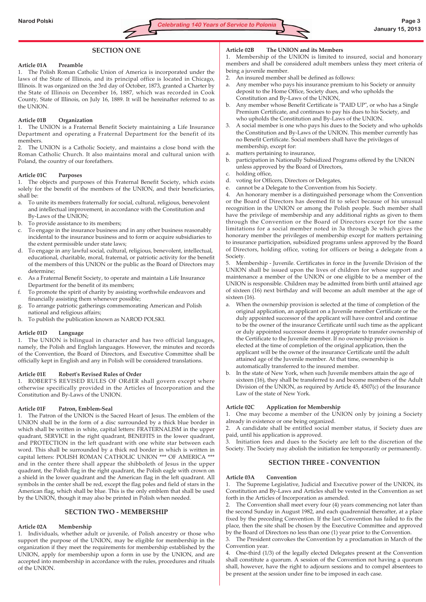# **SECTION ONE**

#### **Article 01A Preamble**

1. The Polish Roman Catholic Union of America is incorporated under the laws of the State of Illinois, and its principal office is located in Chicago, Illinois. It was organized on the 3rd day of October, 1873, granted a Charter by the State of Illinois on December 16, 1887, which was recorded in Cook County, State of Illinois, on July 16, 1889. It will be hereinafter referred to as the UNION.

#### **Article 01B Organization**

1. The UNION is a Fraternal Benefit Society maintaining a Life Insurance Department and operating a Fraternal Department for the benefit of its members.

2. The UNION is a Catholic Society, and maintains a close bond with the Roman Catholic Church. It also maintains moral and cultural union with Poland, the country of our forefathers.

#### **Article 01C Purposes**

1. The objects and purposes of this Fraternal Benefit Society, which exists solely for the benefit of the members of the UNION, and their beneficiaries, shall be:

- a. To unite its members fraternally for social, cultural, religious, benevolent and intellectual improvement, in accordance with the Constitution and By-Laws of the UNION;
- b. To provide assistance to its members;
- c. To engage in the insurance business and in any other business reasonably incidental to the insurance business and to form or acquire subsidiaries to the extent permissible under state laws;
- d. To engage in any lawful social, cultural, religious, benevolent, intellectual, educational, charitable, moral, fraternal, or patriotic activity for the benefit of the members of this UNION or the public as the Board of Directors may determine;
- As a Fraternal Benefit Society, to operate and maintain a Life Insurance Department for the benefit of its members;
- To promote the spirit of charity by assisting worthwhile endeavors and financially assisting them whenever possible;
- g. To arrange patriotic gatherings commemorating American and Polish national and religious affairs;
- h. To publish the publication known as NAROD POLSKI.

#### **Article 01D Language**

1. The UNION is bilingual in character and has two official languages, namely, the Polish and English languages. However, the minutes and records of the Convention, the Board of Directors, and Executive Committee shall be officially kept in English and any in Polish will be considered translations.

#### **Article 01E Robert's Revised Rules of Order**

1. ROBERT'S REVISED RULES OF ORdER shall govern except where otherwise specifically provided in the Articles of Incorporation and the Constitution and By-Laws of the UNION.

#### **Article 01F Patron, Emblem-Seal**

1. The Patron of the UNION is the Sacred Heart of Jesus. The emblem of the UNION shall be in the form of a disc surrounded by a thick blue border in which shall be written in white, capital letters: FRATERNALISM in the upper quadrant, SERVICE in the right quadrant, BENEFITS in the lower quadrant, and PROTECTION in the left quadrant with one white star between each word. This shall be surrounded by a thick red border in which is written in capital letters: POLISH ROMAN CATHOLIC UNION \*\*\* OF AMERICA \*\*\* and in the center there shall appear the shibboleth of Jesus in the upper quadrant, the Polish flag in the right quadrant, the Polish eagle with crown on a shield in the lower quadrant and the American flag in the left quadrant. All symbols in the center shall be red, except the flag poles and field of stars in the American flag, which shall be blue. This is the only emblem that shall be used by the UNION, though it may also be printed in Polish when needed.

#### **SECTION TWO - MEMBERSHIP**

#### **Article 02A Membership**

1. Individuals, whether adult or juvenile, of Polish ancestry or those who support the purpose of the UNION, may be eligible for membership in the organization if they meet the requirements for membership established by the UNION, apply for membership upon a form in use by the UNION, and are accepted into membership in accordance with the rules, procedures and rituals of the UNION.

#### **Article 02B The UNION and its Members**

1. Membership of the UNION is limited to insured, social and honorary members and shall be considered adult members unless they meet criteria of being a juvenile member.

- 2. An insured member shall be defined as follows:
- a. Any member who pays his insurance premium to his Society or annuity deposit to the Home Office, Society dues, and who upholds the Constitution and By-Laws of the UNION,
- b. Any member whose Benefit Certificate is "PAID UP", or who has a Single Premium Certificate, and continues to pay his dues to his Society, and who upholds the Constitution and By-Laws of the UNION.
- 3. A social member is one who pays his dues to the Society and who upholds the Constitution and By-Laws of the UNION. This member currently has no Benefit Certificate. Social members shall have the privileges of membership, except for:
- a. matters pertaining to insurance,
- b. participation in Nationally Subsidized Programs offered by the UNION unless approved by the Board of Directors,
- c. holding office,
- d. voting for Officers, Directors or Delegates,
- e. cannot be a Delegate to the Convention from his Society.

4. An honorary member is a distinguished personage whom the Convention or the Board of Directors has deemed fit to select because of his unusual recognition in the UNION or among the Polish people. Such member shall have the privilege of membership and any additional rights as given to them through the Convention or the Board of Directors except for the same limitations for a social member noted in 3a through 3e which gives the honorary member the privileges of membership except for matters pertaining to insurance participation, subsidized programs unless approved by the Board of Directors, holding office, voting for officers or being a delegate from a Society.

5. Membership - Juvenile. Certificates in force in the Juvenile Division of the UNION shall be issued upon the lives of children for whose support and maintenance a member of the UNION or one eligible to be a member of the UNION is responsible. Children may be admitted from birth until attained age of sixteen (16) next birthday and will become an adult member at the age of sixteen (16).

- a. When the ownership provision is selected at the time of completion of the original application, an applicant on a Juvenile member Certificate or the duly appointed successor of the applicant will have control and continue to be the owner of the insurance Certificate until such time as the applicant or duly appointed successor deems it appropriate to transfer ownership of the Certificate to the Juvenile member. If no ownership provision is elected at the time of completion of the original application, then the applicant will be the owner of the insurance Certificate until the adult attained age of the Juvenile member. At that time, ownership is automatically transferred to the insured member.
- b. In the state of New York, when such Juvenile members attain the age of sixteen (16), they shall be transferred to and become members of the Adult Division of the UNION, as required by Article 45, 4507(c) of the Insurance Law of the state of New York.

#### **Article 02C Application for Membership**

1. One may become a member of the UNION only by joining a Society already in existence or one being organized.

2. A candidate shall be entitled social member status, if Society dues are paid, until his application is approved.

3. Initiation fees and dues to the Society are left to the discretion of the Society. The Society may abolish the initiation fee temporarily or permanently.

# **SECTION THREE - CONVENTION**

#### **Article 03A Convention**

1. The Supreme Legislative, Judicial and Executive power of the UNION, its Constitution and By-Laws and Articles shall be vested in the Convention as set forth in the Articles of Incorporation as amended.

2. The Convention shall meet every four (4) years commencing not later than the second Sunday in August 1982, and each quadrennial thereafter, at a place fixed by the preceding Convention. If the last Convention has failed to fix the place, then the site shall be chosen by the Executive Committee and approved by the Board of Directors no less than one (1) year prior to the Convention.

3. The President convokes the Convention by a proclamation in March of the Convention year.

4. One-third (1/3) of the legally elected Delegates present at the Convention shall constitute a quorum. A session of the Convention not having a quorum shall, however, have the right to adjourn sessions and to compel absentees to be present at the session under fine to be imposed in each case.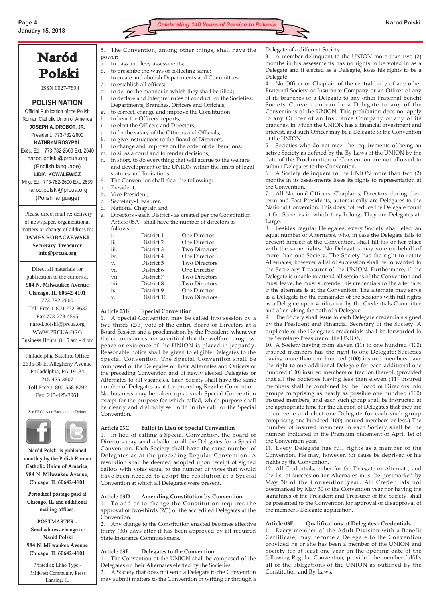Naród



| Polski                             | b.                                                                                                                                                                                                    | to prescribe the ways of collecting same;                    |  |  |  |
|------------------------------------|-------------------------------------------------------------------------------------------------------------------------------------------------------------------------------------------------------|--------------------------------------------------------------|--|--|--|
|                                    | $C_{\star}$                                                                                                                                                                                           | to create and abolish Departments and Committees;            |  |  |  |
| ISSN 0027-7894                     | d.                                                                                                                                                                                                    | to establish all offices;                                    |  |  |  |
|                                    | e.                                                                                                                                                                                                    | to define the manner in which they shall be filled;          |  |  |  |
|                                    | f.                                                                                                                                                                                                    | to declare and interpret rules of conduct for the Societies, |  |  |  |
| <b>POLISH NATION</b>               |                                                                                                                                                                                                       | Departments, Branches, Officers and Officials;               |  |  |  |
| Official Publication of the Polish | g.                                                                                                                                                                                                    | to correct, change and improve the Constitution;             |  |  |  |
| Roman Catholic Union of America    | to hear the Officers' reports;<br>h.<br>to elect the Officers and Directors;<br>i.<br>to fix the salary of the Officers and Officials;<br>j.<br>k.<br>to give instructions to the Board of Directors; |                                                              |  |  |  |
| JOSEPH A. DROBOT, JR.              |                                                                                                                                                                                                       |                                                              |  |  |  |
| President: 773-782-2600            |                                                                                                                                                                                                       |                                                              |  |  |  |
| <b>KATHRYN ROSYPAL</b>             |                                                                                                                                                                                                       |                                                              |  |  |  |
| Exec. Ed.: 773-782-2600 Ext. 2640  | 1.                                                                                                                                                                                                    | to change and improve on the order of deliberations;         |  |  |  |
| narod.polski@prcua.org             | to sit as a court and to render decisions;<br>m.                                                                                                                                                      |                                                              |  |  |  |
|                                    | n.                                                                                                                                                                                                    | in short, to do everything that will accrue to the welfare   |  |  |  |
| (English language)                 |                                                                                                                                                                                                       | and development of the UNION within the limits of legal      |  |  |  |
| <b>LIDIA KOWALEWICZ</b>            |                                                                                                                                                                                                       | statutes and limitations.                                    |  |  |  |
| Mng. Ed.: 773-782-2600 Ext. 2639   | The Convention shall elect the following:<br>6.                                                                                                                                                       |                                                              |  |  |  |
| narod.polski@prcua.org             | a.<br>$\mathbf{b}$ .                                                                                                                                                                                  | President,<br>Vice-President,                                |  |  |  |
| (Polish language)                  | C.                                                                                                                                                                                                    | Secretary-Treasurer,                                         |  |  |  |
|                                    | d.                                                                                                                                                                                                    | National Chaplain and                                        |  |  |  |
| Please direct mail re: delivery    | e.                                                                                                                                                                                                    | Directors - each District - as created per the Constitution  |  |  |  |
| of newspaper, organizational       |                                                                                                                                                                                                       | Article 05A - shall have the number of directors as          |  |  |  |
| matters or change of address to:   |                                                                                                                                                                                                       | follows:                                                     |  |  |  |
|                                    |                                                                                                                                                                                                       | One Director<br>District 1<br>i.                             |  |  |  |
| <b>JAMES ROBACZEWSKI</b>           |                                                                                                                                                                                                       | ii.<br>One Director<br>District 2                            |  |  |  |
| <b>Secretary-Treasurer</b>         |                                                                                                                                                                                                       | iii.<br><b>Two Directors</b><br>District 3                   |  |  |  |
| info@prcua.org                     |                                                                                                                                                                                                       | iv.<br>One Director<br>District 4                            |  |  |  |
|                                    |                                                                                                                                                                                                       | Two Directors<br>District 5<br>$\mathbf{V}$                  |  |  |  |

Direct all materials for publication to the editors at **984 N. Milwaukee Avenue Chicago, IL 60642-4101** 773-782-2600 Toll-Free 1-800-772-8632 Fax 773-278-4595 narod.polski@prcua.org WWW.PRCUA.ORG Business Hours: 8:15 am - 4 pm

Philadelphia Satellite Office 2636-38 E. Allegheny Avenue Philadelphia, PA 19134 215-425-3807 Toll-Free 1-800-558-8792 Fax 215-425-3961

See PRCUA on Facebook or Twitter



Naród Polski is published monthly by the Polish Roman Catholic Union of America, 984 N. Milwaukee Avenue, Chicago, IL 60642-4101

Periodical postage paid at Chicago, IL and additional mailing offices.

POSTMASTER - Send address change to: Naród Polski 984 N. Milwaukee Avenue Chicago, IL 60642-4101

Printed at: Litho Type - Midwest Community Press Lansing, IL

5. The Convention, among other things, shall have the power:

- a. to pass and levy assessments;
- cribe the ways of collecting same

- n. in short, to do everything that will accrue to the welfare and development of the UNION within the limits of legal
- e. Directors each District as created per the Constitution

| 10110 W.S. |             |                      |
|------------|-------------|----------------------|
| i.         | District 1  | One Director         |
| ii.        | District 2  | One Director         |
| iii.       | District 3  | <b>Two Directors</b> |
| iv.        | District 4  | One Director         |
| v.         | District 5  | <b>Two Directors</b> |
| vi.        | District 6  | One Director         |
| vii.       | District 7  | <b>Two Directors</b> |
| viii.      | District 8  | <b>Two Directors</b> |
| ix.        | District 9  | One Director         |
| X.         | District 10 | <b>Two Directors</b> |
|            |             |                      |

#### **Article 03B Special Convention**

1. A Special Convention may be called into session by a two-thirds (2/3) vote of the entire Board of Directors at a Board Session and a proclamation by the President, whenever the circumstances are so critical that the welfare, progress, peace or existence of the UNION is placed in jeopardy. Reasonable notice shall be given to eligible Delegates to the Special Convention. The Special Convention shall be composed of the Delegates or their Alternates and Officers of the preceding Convention and of newly elected Delegates or Alternates to fill vacancies. Each Society shall have the same number of Delegates as at the preceding Regular Convention. No business may be taken up at such Special Convention except for the purpose for which called, which purpose shall be clearly and distinctly set forth in the call for the Special Convention.

#### **Article 03C Ballot in Lieu of Special Convention**

1. In lieu of calling a Special Convention, the Board of Directors may send a ballot to all the Delegates for a Special Convention. Each Society shall have the same number of Delegates as at the preceding Regular Convention. A resolution shall be deemed adopted upon receipt of signed ballots with votes equal to the number of votes that would have been needed to adopt the resolution at a Special Convention at which all Delegates were present.

#### **Article 03D Amending Constitution by Convention**

1. To add or to change the Constitution requires the approval of two-thirds (2/3) of the accredited Delegates at the Convention.

2. Any change to the Constitution enacted becomes effective thirty (30) days after it has been approved by all required State Insurance Commissioners.

#### **Article 03E Delegates to the Convention**

1. The Convention of the UNION shall be composed of the Delegates or their Alternates elected by the Societies.

2. A Society that does not send a Delegate to the Convention may submit matters to the Convention in writing or through a Delegate of a different Society.

3. A member delinquent to the UNION more than two (2) months in his assessments has no rights to be voted in as a Delegate and if elected as a Delegate, loses his rights to be a Delegate.

4. No Officer or Chaplain of the central body of any other Fraternal Society or Insurance Company or an Officer of any of its branches or a Delegate to any other Fraternal Benefit Society Convention can be a Delegate to any of the Conventions of the UNION. This prohibition does not apply to any Officer of an Insurance Company or any of its branches, in which the UNION has a financial investment and interest, and such Officer may be a Delegate to the Convention of the UNION.

5. Societies who do not meet the requirements of being an active Society as defined by the By-Laws of the UNION by the date of the Proclamation of Convention are not allowed to submit Delegates to the Convention.

6. A Society delinquent to the UNION more than two (2) months in its assessments loses its rights to representation at the Convention.

7. All National Officers, Chaplains, Directors during their term and Past Presidents, automatically are Delegates to the National Convention. This does not reduce the Delegate count of the Societies in which they belong. They are Delegates-at-Large.

8. Besides regular Delegates, every Society shall elect an equal number of Alternates, who, in case the Delegate fails to present himself at the Convention, shall fill his or her place with the same rights. No Delegates may vote on behalf of more than one Society. The Society has the right to rotate Alternates, however a list of succession shall be forwarded to the Secretary-Treasurer of the UNION. Furthermore, if the Delegate is unable to attend all sessions of the Convention and must leave, he must surrender his credentials to the alternate, if the alternate is at the Convention. The alternate may serve as a Delegate for the remainder of the sessions with full rights as a Delegate upon verification by the Credentials Committee and after taking the oath of a Delegate.

9. The Society shall issue to each Delegate credentials signed by the President and Financial Secretary of the Society. A duplicate of the Delegate's credentials shall be forwarded to the Secretary-Treasurer of the UNION.

10. A Society having from eleven (11) to one hundred (100) insured members has the right to one Delegate; Societies having more than one hundred (100) insured members have the right to one additional Delegate for each additional one hundred (100) insured members or fraction thereof; (provided that all the Societies having less than eleven (11) insured members shall be combined by the Board of Directors into groups comprising as nearly as possible one hundred (100) insured members, and each such group shall be instructed at the appropriate time for the election of Delegates that they are to convene and elect one Delegate for each such group comprising one hundred (100) insured members or less.) The number of insured members in each Society shall be the number indicated in the Premium Statement of April 1st of the Convention year.

11. Every Delegate has full rights as a member of the Convention. He may, however, for cause be deprived of his rights by the Convention.

12. All Credentials, either for the Delegate or Alternate, and the list of succession for Alternates must be postmarked by May 30 of the Convention year. All Credentials not postmarked by May 30 of the Convention year nor having the signatures of the President and Treasurer of the Society, shall be presented to the Convention for approval or disapproval of the member's Delegate application.

#### **Article 03F Qualifications of Delegates - Credentials**

1. Every member of the Adult Division with a Benefit Certificate, may become a Delegate to the Convention provided he or she has been a member of the UNION and Society for at least one year on the opening date of the following Regular Convention, provided the member fulfills all of the obligations of the UNION as outlined by the Constitution and By-Laws.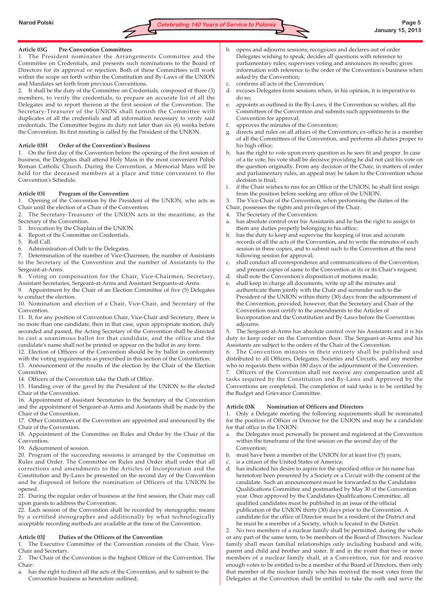# **Article 03G Pre-Convention Committees**

1. The President nominates the Arrangements Committee and the Committee on Credentials, and presents such nominations to the Board of Directors for its approval or rejection. Both of these Committees will work within the scope set forth within the Constitution and By-Laws of the UNION and Mandates set forth from previous Conventions.

2. It shall be the duty of the Committee on Credentials, composed of three (3) members, to verify the credentials, to prepare an accurate list of all the Delegates and to report thereon at the first session of the Convention. The Secretary-Treasurer of the UNION shall furnish the Committee with duplicates of all the credentials and all information necessary to verify said credentials. The Committee begins its duty not later than six (6) weeks before the Convention. Its first meeting is called by the President of the UNION.

# **Article 03H Order of the Convention's Business**

1. On the first day of the Convention before the opening of the first session of business, the Delegates shall attend Holy Mass in the most convenient Polish Roman Catholic Church. During the Convention, a Memorial Mass will be held for the deceased members at a place and time convenient to the Convention's Schedule.

# **Article 03I Program of the Convention**

1. Opening of the Convention by the President of the UNION, who acts as Chair until the election of a Chair of the Convention.

2. The Secretary-Treasurer of the UNION acts in the meantime, as the Secretary of the Convention.

3. Invocation by the Chaplain of the UNION.

4. Report of the Committee on Credentials.

- 5. Roll Call.
- 6. Administration of Oath to the Delegates.

7. Determination of the number of Vice-Chairmen, the number of Assistants to the Secretary of the Convention and the number of Assistants to the Sergeant-at-Arms.

8. Voting on compensation for the Chair, Vice-Chairmen, Secretary, Assistant Secretaries, Sergeant-at-Arms and Assistant Sergeants-at-Arms.

9. Appointment by the Chair of an Election Committee of five (5) Delegates to conduct the election.

10. Nomination and election of a Chair, Vice-Chair, and Secretary of the Convention.

11. If, for any position of Convention Chair, Vice-Chair and Secretary, there is no more than one candidate, then in that case, upon appropriate motion, duly seconded and passed, the Acting Secretary of the Convention shall be directed to cast a unanimous ballot for that candidate, and the office and the candidate's name shall not be printed or appear on the ballot in any form.

12. Election of Officers of the Convention should be by ballot in conformity with the voting requirements as prescribed in this section of the Constitution. 13. Announcement of the results of the election by the Chair of the Election Committee.

14. Officers of the Convention take the Oath of Office.

15. Handing over of the gavel by the President of the UNION to the elected Chair of the Convention.

16. Appointment of Assistant Secretaries to the Secretary of the Convention and the appointment of Sergeant-at-Arms and Assistants shall be made by the Chair of the Convention.

17. Other Committees of the Convention are appointed and announced by the Chair of the Convention.

18. Appointment of the Committee on Rules and Order by the Chair of the Convention.

19. Adjournment of session.

20. Program of the succeeding sessions is arranged by the Committee on Rules and Order. The Committee on Rules and Order shall order that all corrections and amendments to the Articles of Incorporation and the Constitution and By-Laws be presented on the second day of the Convention and be disposed of before the nomination of Officers of the UNION be opened.

21. During the regular order of business at the first session, the Chair may call upon guests to address the Convention.

22. Each session of the Convention shall be recorded by stenographic means by a certified stenographer and additionally by what technologically acceptable recording methods are available at the time of the Convention.

#### **Article 03J Duties of the Officers of the Convention**

1. The Executive Committee of the Convention consists of the Chair, Vice-Chair and Secretary.

2. The Chair of the Convention is the highest Officer of the Convention. The Chair:

a. has the right to direct all the acts of the Convention, and to submit to the Convention business as heretofore outlined;

- b. opens and adjourns sessions; recognizes and declares out of order Delegates wishing to speak; decides all questions with reference to parliamentary rules; supervises voting and announces its results; gives information with reference to the order of the Convention's business when asked by the Convention;
- c. confirms all acts of the Convention;
- d. excuses Delegates from sessions when, in his opinion, it is imperative to do so;
- e. appoints as outlined in the By-Laws, if the Convention so wishes, all the Committees of the Convention and submits such appointments to the Convention for approval;
- f. approves the minutes of the Convention;
- g. directs and rules on all affairs of the Convention; ex-officio he is a member of all the Committees of the Convention, and performs all duties proper to his high office;
- h. has the right to vote upon every question as he sees fit and proper. In case of a tie vote, his vote shall be decisive providing he did not cast his vote on the question originally. From any decision of the Chair, in matters of order and parliamentary rules, an appeal may be taken to the Convention whose decision is final;
- i. if the Chair wishes to run for an Office of the UNION, he shall first resign from the position before seeking any office of the UNION.
- 3. The Vice-Chair of the Convention, when performing the duties of the
- Chair, possesses the rights and privileges of the Chair.
- 4. The Secretary of the Convention:
- a. has absolute control over his Assistants and he has the right to assign to them any duties properly belonging to his office;
- has the duty to keep and supervise the keeping of true and accurate records of all the acts of the Convention, and to write the minutes of each session in three copies, and to submit such to the Convention at the next following session for approval;
- c. shall conduct all correspondence and communications of the Convention, and present copies of same to the Convention at its or its Chair's request;
- d. shall note the Convention's disposition of motions made;
- shall keep in charge all documents, write up all the minutes and authenticate them jointly with the Chair and surrender such to the President of the UNION within thirty (30) days from the adjournment of the Convention, provided, however, that the Secretary and Chair of the Convention must certify to the amendments to the Articles of Incorporation and the Constitution and By-Laws before the Convention adjourns.

The Sergeant-at-Arms has absolute control over his Assistants and it is his duty to keep order on the Convention floor. The Sergeant-at-Arms and his Assistants are subject to the orders of the Chair of the Convention.

6. The Convention minutes in their entirety shall be published and distributed to all Officers, Delegates, Societies and Circuits, and any member who so requests them within 180 days of the adjournment of the Convention.

7. Officers of the Convention shall not receive any compensation until all tasks required by the Constitution and By-Laws and Approved by the Conventions are completed. The completion of said tasks is to be certified by the Budget and Grievance Committee.

# **Article 03K Nomination of Officers and Directors**

1. Only a Delegate meeting the following requirements shall be nominated for the position of Officer or Director for the UNION and may be a candidate for that office in the UNION:

- a. the Delegates must personally be present and registered at the Convention within the timeframe of the first session on the second day of the Convention;
- b. must have been a member of the UNION for at least five (5) years;
- c. is a citizen of the United States of America;
- d. has indicated his desire to aspire for the specified office or his name has heretofore been presented by a Society or a Circuit with the consent of the candidate. Such an announcement must be forwarded to the Candidates Qualifications Committee and postmarked by May 30 of the Convention year. Once approved by the Candidates Qualifications Committee, all qualified candidates must be published in an issue of the official publication of the UNION thirty (30) days prior to the Convention. A candidate for the office of Director must be a resident of the District and he must be a member of a Society, which is located in the District.

2. No two members of a nuclear family shall be permitted, during the whole or any part of the same term, to be members of the Board of Directors. Nuclear family shall mean familial relationships only including husband and wife, parent and child and brother and sister. If and in the event that two or more members of a nuclear family shall, at a Convention, run for and receive enough votes to be entitled to be a member of the Board of Directors, then only that member of the nuclear family who has received the most votes from the Delegates at the Convention shall be entitled to take the oath and serve the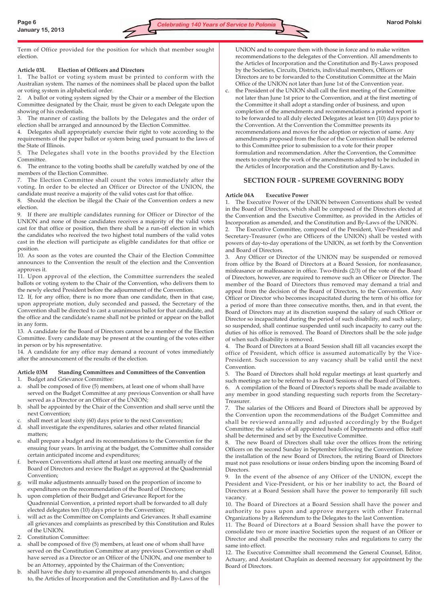Term of Office provided for the position for which that member sought election.

# **Article 03L Election of Officers and Directors**

1. The ballot or voting system must be printed to conform with the Australian system. The names of the nominees shall be placed upon the ballot or voting system in alphabetical order.

2. A ballot or voting system signed by the Chair or a member of the Election Committee designated by the Chair, must be given to each Delegate upon the showing of his credentials.

3. The manner of casting the ballots by the Delegates and the order of election shall be arranged and announced by the Election Committee.

4. Delegates shall appropriately exercise their right to vote according to the requirements of the paper ballot or system being used pursuant to the laws of the State of Illinois.

5. The Delegates shall vote in the booths provided by the Election Committee.

6. The entrance to the voting booths shall be carefully watched by one of the members of the Election Committee.

7. The Election Committee shall count the votes immediately after the voting. In order to be elected an Officer or Director of the UNION, the candidate must receive a majority of the valid votes cast for that office.

8. Should the election be illegal the Chair of the Convention orders a new election.

9. If there are multiple candidates running for Officer or Director of the UNION and none of those candidates receives a majority of the valid votes cast for that office or position, then there shall be a run-off election in which the candidates who received the two highest total numbers of the valid votes cast in the election will participate as eligible candidates for that office or position.

10. As soon as the votes are counted the Chair of the Election Committee announces to the Convention the result of the election and the Convention approves it.

11. Upon approval of the election, the Committee surrenders the sealed ballots or voting system to the Chair of the Convention, who delivers them to the newly elected President before the adjournment of the Convention.

12. If, for any office, there is no more than one candidate, then in that case, upon appropriate motion, duly seconded and passed, the Secretary of the Convention shall be directed to cast a unanimous ballot for that candidate, and the office and the candidate's name shall not be printed or appear on the ballot in any form.

13. A candidate for the Board of Directors cannot be a member of the Election Committee. Every candidate may be present at the counting of the votes either in person or by his representative.

14. A candidate for any office may demand a recount of votes immediately after the announcement of the results of the election.

# **Article 03M Standing Committees and Committees of the Convention**

- 1. Budget and Grievance Committee:
- a. shall be composed of five (5) members, at least one of whom shall have served on the Budget Committee at any previous Convention or shall have served as a Director or an Officer of the UNION;
- b. shall be appointed by the Chair of the Convention and shall serve until the next Convention;
- shall meet at least sixty (60) days prior to the next Convention;
- d. shall investigate the expenditures, salaries and other related financial matters;
- e. shall prepare a budget and its recommendations to the Convention for the ensuing four years. In arriving at the budget, the Committee shall consider certain anticipated income and expenditures;
- f. between Conventions shall attend at least one meeting annually of the Board of Directors and review the Budget as approved at the Quadrennial Convention;
- will make adjustments annually based on the proportion of income to expenditures on the recommendation of the Board of Directors;
- h. upon completion of their Budget and Grievance Report for the Quadrennial Convention, a printed report shall be forwarded to all duly elected delegates ten (10) days prior to the Convention;
- i. will act as the Committee on Complaints and Grievances. It shall examine all grievances and complaints as prescribed by this Constitution and Rules of the UNION.
- 2. Constitution Committee:
- a. shall be composed of five (5) members, at least one of whom shall have served on the Constitution Committee at any previous Convention or shall have served as a Director or an Officer of the UNION, and one member to be an Attorney, appointed by the Chairman of the Convention;
- b. shall have the duty to examine all proposed amendments to, and changes to, the Articles of Incorporation and the Constitution and By-Laws of the

UNION and to compare them with those in force and to make written recommendations to the delegates of the Convention. All amendments to the Articles of Incorporation and the Constitution and By-Laws proposed by the Societies, Circuits, Districts, individual members, Officers or Directors are to be forwarded to the Constitution Committee at the Main Office of the UNION not later than June 1st of the Convention year.

c. the President of the UNION shall call the first meeting of the Committee not later than June 1st prior to the Convention, and at the first meeting of the Committee it shall adopt a standing order of business, and upon completion of the amendments and recommendations a printed report is to be forwarded to all duly elected Delegates at least ten (10) days prior to the Convention. At the Convention the Committee presents its recommendations and moves for the adoption or rejection of same. Any amendments proposed from the floor of the Convention shall be referred to this Committee prior to submission to a vote for their proper formulation and recommendation. After the Convention, the Committee meets to complete the work of the amendments adopted to be included in the Articles of Incorporation and the Constitution and By-Laws.

# **SECTION FOUR - SUPREME GOVERNING BODY**

# **Article 04A Executive Power**

1. The Executive Power of the UNION between Conventions shall be vested in the Board of Directors, which shall be composed of the Directors elected at the Convention and the Executive Committee, as provided in the Articles of Incorporation as amended, and the Constitution and By-Laws of the UNION. The Executive Committee, composed of the President, Vice-President and Secretary-Treasurer (who are Officers of the UNION) shall be vested with powers of day-to-day operations of the UNION, as set forth by the Convention and Board of Directors.

3. Any Officer or Director of the UNION may be suspended or removed from office by the Board of Directors at a Board Session, for nonfeasance, misfeasance or malfeasance in office. Two-thirds (2/3) of the vote of the Board of Directors, however, are required to remove such an Officer or Director. The member of the Board of Directors thus removed may demand a trial and appeal from the decision of the Board of Directors, to the Convention. Any Officer or Director who becomes incapacitated during the term of his office for a period of more than three consecutive months, then, and in that event, the Board of Directors may at its discretion suspend the salary of such Officer or Director so incapacitated during the period of such disability, and such salary, so suspended, shall continue suspended until such incapacity to carry out the duties of his office is removed. The Board of Directors shall be the sole judge of when such disability is removed.

4. The Board of Directors at a Board Session shall fill all vacancies except the office of President, which office is assumed automatically by the Vice-President. Such succession to any vacancy shall be valid until the next Convention.

5. The Board of Directors shall hold regular meetings at least quarterly and such meetings are to be referred to as Board Sessions of the Board of Directors. 6. A compilation of the Board of Director's reports shall be made available to any member in good standing requesting such reports from the Secretary-Treasurer.

7. The salaries of the Officers and Board of Directors shall be approved by the Convention upon the recommendations of the Budget Committee and shall be reviewed annually and adjusted accordingly by the Budget Committee; the salaries of all appointed heads of Departments and office staff shall be determined and set by the Executive Committee.

The new Board of Directors shall take over the offices from the retiring Officers on the second Sunday in September following the Convention. Before the installation of the new Board of Directors, the retiring Board of Directors must not pass resolutions or issue orders binding upon the incoming Board of Directors.

9. In the event of the absence of any Officer of the UNION, except the President and Vice-President, or his or her inability to act, the Board of Directors at a Board Session shall have the power to temporarily fill such vacancy.

10. The Board of Directors at a Board Session shall have the power and authority to pass upon and approve mergers with other Fraternal Organizations by a Referendum to the Delegates to the last Convention.

11. The Board of Directors at a Board Session shall have the power to consolidate two or more inactive Societies upon the request of an Officer or Director and shall prescribe the necessary rules and regulations to carry the same into effect.

12. The Executive Committee shall recommend the General Counsel, Editor, Actuary, and Assistant Chaplain as deemed necessary for appointment by the Board of Directors.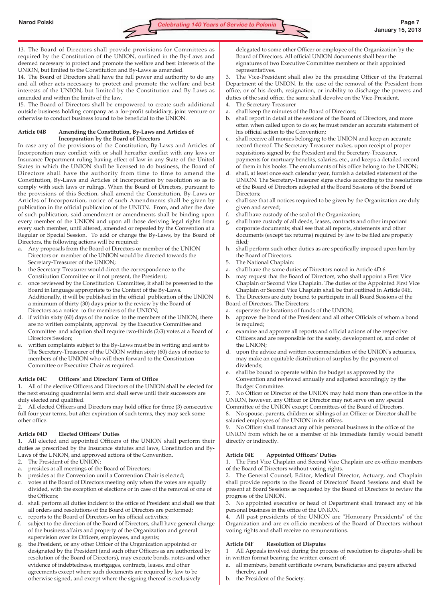13. The Board of Directors shall provide provisions for Committees as required by the Constitution of the UNION, outlined in the By-Laws and deemed necessary to protect and promote the welfare and best interests of the UNION, but limited to the Constitution and By-Laws as amended.

14. The Board of Directors shall have the full power and authority to do any and all other acts necessary to protect and promote the welfare and best interests of the UNION, but limited by the Constitution and By-Laws as amended and within the limits of the law.

15. The Board of Directors shall be empowered to create such additional outside business holding company as a for-profit subsidiary, joint venture or otherwise to conduct business found to be beneficial to the UNION.

# **Article 04B Amending the Constitution, By-Laws and Articles of Incorporation by the Board of Directors**

In case any of the provisions of the Constitution, By-Laws and Articles of Incorporation may conflict with or shall hereafter conflict with any laws or Insurance Department ruling having effect of law in any State of the United States in which the UNION shall be licensed to do business, the Board of Directors shall have the authority from time to time to amend the Constitution, By-Laws and Articles of Incorporation by resolution so as to comply with such laws or rulings. When the Board of Directors, pursuant to the provisions of this Section, shall amend the Constitution, By-Laws or Articles of Incorporation, notice of such Amendments shall be given by publication in the official publication of the UNION. From, and after the date of such publication, said amendment or amendments shall be binding upon every member of the UNION and upon all those deriving legal rights from every such member, until altered, amended or repealed by the Convention at a Regular or Special Session. To add or change the By-Laws, by the Board of Directors, the following actions will be required:

- a. Any proposals from the Board of Directors or member of the UNION Directors or member of the UNION would be directed towards the Secretary-Treasurer of the UNION;
- b. the Secretary-Treasurer would direct the correspondence to the Constitution Committee or if not present, the President;
- c. once reviewed by the Constitution Committee, it shall be presented to the Board in language appropriate to the Context of the By-Laws. Additionally, it will be published in the official publication of the UNION a minimum of thirty (30) days prior to the review by the Board of Directors as a notice to the members of the UNION;
- d. if within sixty (60) days of the notice to the members of the UNION, there are no written complaints, approval by the Executive Committee and Committee and adoption shall require two-thirds (2/3) votes at a Board of Directors Session;
- e. written complaints subject to the By-Laws must be in writing and sent to The Secretary-Treasurer of the UNION within sixty (60) days of notice to members of the UNION who will then forward to the Constitution Committee or Executive Chair as required.

# **Article 04C Officers' and Directors' Term of Office**

1. All of the elective Officers and Directors of the UNION shall be elected for the next ensuing quadrennial term and shall serve until their successors are duly elected and qualified.

2. All elected Officers and Directors may hold office for three (3) consecutive full four year terms, but after expiration of such terms, they may seek some other office.

# **Article 04D Elected Officers' Duties**

1. All elected and appointed Officers of the UNION shall perform their duties as prescribed by the Insurance statutes and laws, Constitution and By-Laws of the UNION, and approved actions of the Convention.

- 2. The President of the UNION:
- a. presides at all meetings of the Board of Directors;
- b. presides at the Convention until a Convention Chair is elected;
- votes at the Board of Directors meeting only when the votes are equally divided, with the exception of elections or in case of the removal of one of the Officers;
- d. shall perform all duties incident to the office of President and shall see that all orders and resolutions of the Board of Directors are performed;
- e. reports to the Board of Directors on his official activities;
- f. subject to the direction of the Board of Directors, shall have general charge of the business affairs and property of the Organization and general supervision over its Officers, employees, and agents;
- g. the President, or any other Officer of the Organization appointed or designated by the President (and such other Officers as are authorized by resolution of the Board of Directors), may execute bonds, notes and other evidence of indebtedness, mortgages, contracts, leases, and other agreements except where such documents are required by law to be otherwise signed, and except where the signing thereof is exclusively

delegated to some other Officer or employee of the Organization by the Board of Directors. All official UNION documents shall bear the signatures of two Executive Committee members or their appointed representatives.

The Vice-President shall also be the presiding Officer of the Fraternal Department of the UNION. In the case of the removal of the President from office, or of his death, resignation, or inability to discharge the powers and duties of the said office, the same shall devolve on the Vice-President.

- 4. The Secretary-Treasurer
- a. shall keep the minutes of the Board of Directors;
- b. shall report in detail at the sessions of the Board of Directors, and more often when called upon to do so; he must render an accurate statement of his official action to the Convention;
- c. shall receive all monies belonging to the UNION and keep an accurate record thereof. The Secretary-Treasurer makes, upon receipt of proper requisitions signed by the President and the Secretary-Treasurer, payments for mortuary benefits, salaries, etc., and keeps a detailed record of them in his books. The emoluments of his office belong to the UNION;
- d. shall, at least once each calendar year, furnish a detailed statement of the UNION. The Secretary-Treasurer signs checks according to the resolutions of the Board of Directors adopted at the Board Sessions of the Board of Directors;
- shall see that all notices required to be given by the Organization are duly given and served;
- shall have custody of the seal of the Organization;
- g. shall have custody of all deeds, leases, contracts and other important corporate documents; shall see that all reports, statements and other documents (except tax returns) required by law to be filed are properly filed;
- h. shall perform such other duties as are specifically imposed upon him by the Board of Directors.
- 5. The National Chaplain:
- a. shall have the same duties of Directors noted in Article 4D.6
- b. may request that the Board of Directors, who shall appoint a First Vice Chaplain or Second Vice Chaplain. The duties of the Appointed First Vice Chaplain or Second Vice Chaplain shall be that outlined in Article 04E.
- The Directors are duty bound to participate in all Board Sessions of the Board of Directors. The Directors:
- a. supervise the locations of funds of the UNION;
- b. approve the bond of the President and all other Officials of whom a bond is required;
- c. examine and approve all reports and official actions of the respective Officers and are responsible for the safety, development of, and order of the UNION;
- d. upon the advice and written recommendation of the UNION's actuaries, may make an equitable distribution of surplus by the payment of dividends;
- e. shall be bound to operate within the budget as approved by the Convention and reviewed annually and adjusted accordingly by the Budget Committee.

7. No Officer or Director of the UNION may hold more than one office in the UNION, however, any Officer or Director may not serve on any special

Committee of the UNION except Committees of the Board of Directors. 8. No spouse, parents, children or siblings of an Officer or Director shall be

salaried employees of the UNION in its offices.

9. No Officer shall transact any of his personal business in the office of the UNION from which he or a member of his immediate family would benefit directly or indirectly.

# **Article 04E Appointed Officers' Duties**

1. The First Vice Chaplain and Second Vice Chaplain are ex-officio members of the Board of Directors without voting rights.

2. The General Counsel, Editor, Medical Director, Actuary, and Chaplain shall provide reports to the Board of Directors' Board Sessions and shall be present at Board Sessions as requested by the Board of Directors to review the progress of the UNION.

3. No appointed executive or head of Department shall transact any of his personal business in the office of the UNION.

4. All past presidents of the UNION are "Honorary Presidents" of the Organization and are ex-officio members of the Board of Directors without voting rights and shall receive no remunerations.

# **Article 04F Resolution of Disputes**

1 All Appeals involved during the process of resolution to disputes shall be in written format bearing the written consent of:

- a. all members, benefit certificate owners, beneficiaries and payers affected thereby, and
- b. the President of the Society.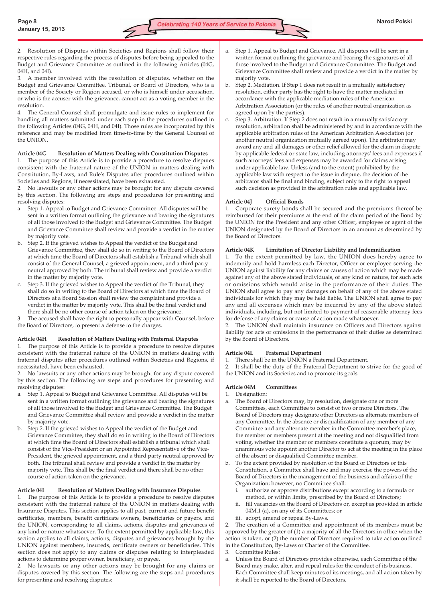2. Resolution of Disputes within Societies and Regions shall follow their respective rules regarding the process of disputes before being appealed to the Budget and Grievance Committee as outlined in the following Articles (04G, 04H, and 04I).

3. A member involved with the resolution of disputes, whether on the Budget and Grievance Committee, Tribunal, or Board of Directors, who is a member of the Society or Region accused, or who is himself under accusation, or who is the accuser with the grievance, cannot act as a voting member in the resolution.

4. The General Counsel shall promulgate and issue rules to implement for handling all matters submitted under each step in the procedures outlined in the following Articles (04G, 04H, and 04I). Those rules are incorporated by this reference and may be modified from time-to-time by the General Counsel of the UNION.

#### **Article 04G Resolution of Matters Dealing with Constitution Disputes**

1. The purpose of this Article is to provide a procedure to resolve disputes consistent with the fraternal nature of the UNION in matters dealing with Constitution, By-Laws, and Rule's Disputes after procedures outlined within Societies and Regions, if necessitated, have been exhausted.

2. No lawsuits or any other actions may be brought for any dispute covered by this section. The following are steps and procedures for presenting and resolving disputes:

- a. Step 1. Appeal to Budget and Grievance Committee. All disputes will be sent in a written format outlining the grievance and bearing the signatures of all those involved to the Budget and Grievance Committee. The Budget and Grievance Committee shall review and provide a verdict in the matter by majority vote.
- b. Step 2. If the grieved wishes to Appeal the verdict of the Budget and Grievance Committee, they shall do so in writing to the Board of Directors at which time the Board of Directors shall establish a Tribunal which shall consist of the General Counsel, a grieved appointment, and a third party neutral approved by both. The tribunal shall review and provide a verdict in the matter by majority vote.
- c. Step 3. If the grieved wishes to Appeal the verdict of the Tribunal, they shall do so in writing to the Board of Directors at which time the Board of Directors at a Board Session shall review the complaint and provide a verdict in the matter by majority vote. This shall be the final verdict and there shall be no other course of action taken on the grievance.
- 3. The accused shall have the right to personally appear with Counsel, before the Board of Directors, to present a defense to the charges.

#### **Article 04H Resolution of Matters Dealing with Fraternal Disputes**

1. The purpose of this Article is to provide a procedure to resolve disputes consistent with the fraternal nature of the UNION in matters dealing with fraternal disputes after procedures outlined within Societies and Regions, if necessitated, have been exhausted.

2. No lawsuits or any other actions may be brought for any dispute covered by this section. The following are steps and procedures for presenting and resolving disputes:

- a. Step 1. Appeal to Budget and Grievance Committee. All disputes will be sent in a written format outlining the grievance and bearing the signatures of all those involved to the Budget and Grievance Committee. The Budget and Grievance Committee shall review and provide a verdict in the matter by majority vote.
- b. Step 2. If the grieved wishes to Appeal the verdict of the Budget and Grievance Committee, they shall do so in writing to the Board of Directors at which time the Board of Directors shall establish a tribunal which shall consist of the Vice-President or an Appointed Representative of the Vice-President, the grieved appointment, and a third party neutral approved by both. The tribunal shall review and provide a verdict in the matter by majority vote. This shall be the final verdict and there shall be no other course of action taken on the grievance.

#### **Article 04I Resolution of Matters Dealing with Insurance Disputes**

1. The purpose of this Article is to provide a procedure to resolve disputes consistent with the fraternal nature of the UNION in matters dealing with Insurance Disputes. This section applies to all past, current and future benefit certificates, members, benefit certificate owners, beneficiaries or payers, and the UNION, corresponding to all claims, actions, disputes and grievances of any kind or nature whatsoever. To the extent permitted by applicable law, this section applies to all claims, actions, disputes and grievances brought by the UNION against members, insureds, certificate owners or beneficiaries. This section does not apply to any claims or disputes relating to interpleaded actions to determine proper owner, beneficiary, or payee.

2. No lawsuits or any other actions may be brought for any claims or disputes covered by this section. The following are the steps and procedures for presenting and resolving disputes:

- a. Step 1. Appeal to Budget and Grievance. All disputes will be sent in a written format outlining the grievance and bearing the signatures of all those involved to the Budget and Grievance Committee. The Budget and Grievance Committee shall review and provide a verdict in the matter by majority vote.
- b. Step 2. Mediation. If Step 1 does not result in a mutually satisfactory resolution, either party has the right to have the matter mediated in accordance with the applicable mediation rules of the American Arbitration Association (or the rules of another neutral organization as agreed upon by the parties).
- c. Step 3. Arbitration. If Step 2 does not result in a mutually satisfactory resolution, arbitration shall be administered by and in accordance with the applicable arbitration rules of the American Arbitration Association (or another neutral organization mutually agreed upon). The arbitrator may award any and all damages or other relief allowed for the claim in dispute by applicable federal or state law, including attorneys' fees and expenses if such attorneys' fees and expenses may be awarded for claims arising under applicable law. Unless (and to the extent) prohibited by the applicable law with respect to the issue in dispute, the decision of the arbitrator shall be final and binding, subject only to the right to appeal such decision as provided in the arbitration rules and applicable law.

#### **Article 04J Official Bonds**

1. Corporate surety bonds shall be secured and the premiums thereof be reimbursed for their premiums at the end of the claim period of the Bond by the UNION for the President and any other Officer, employee or agent of the UNION designated by the Board of Directors in an amount as determined by the Board of Directors.

#### **Article 04K Limitation of Director Liability and Indemnification**

1. To the extent permitted by law, the UNION does hereby agree to indemnify and hold harmless each Director, Officer or employee serving the UNION against liability for any claims or causes of action which may be made against any of the above stated individuals, of any kind or nature, for such acts or omissions which would arise in the performance of their duties. The UNION shall agree to pay any damages on behalf of any of the above stated individuals for which they may be held liable. The UNION shall agree to pay any and all expenses which may be incurred by any of the above stated individuals, including, but not limited to payment of reasonable attorney fees for defense of any claims or cause of action made whatsoever.

2. The UNION shall maintain insurance on Officers and Directors against liability for acts or omissions in the performance of their duties as determined by the Board of Directors.

#### **Article 04L Fraternal Department**

1. There shall be in the UNION a Fraternal Department.

2. It shall be the duty of the Fraternal Department to strive for the good of the UNION and its Societies and to promote its goals.

#### **Article 04M Committees**

- 1. Designation:
- a. The Board of Directors may, by resolution, designate one or more Committees, each Committee to consist of two or more Directors. The Board of Directors may designate other Directors as alternate members of any Committee. In the absence or disqualification of any member of any Committee and any alternate member in the Committee member's place, the member or members present at the meeting and not disqualified from voting, whether the member or members constitute a quorum, may by unanimous vote appoint another Director to act at the meeting in the place of the absent or disqualified Committee member.
- b. To the extent provided by resolution of the Board of Directors or this Constitution, a Committee shall have and may exercise the powers of the Board of Directors in the management of the business and affairs of the Organization; however, no Committee shall:
	- i. authorize or approve distributions except according to a formula or method, or within limits, prescribed by the Board of Directors;
	- ii. fill vacancies on the Board of Directors or, except as provided in article 04M.1 (a), on any of its Committees; or
	- iii. adopt, amend or repeal By-Laws.

2. The creation of a Committee and appointment of its members must be approved by the greater of (1) a majority of all the Directors in office when the action is taken, or (2) the number of Directors required to take action outlined in the Constitution, By-Laws or Charter of the Committee.

- 3. Committee Rules:
- a. Unless the Board of Directors provides otherwise, each Committee of the Board may make, alter, and repeal rules for the conduct of its business. Each Committee shall keep minutes of its meetings, and all action taken by it shall be reported to the Board of Directors.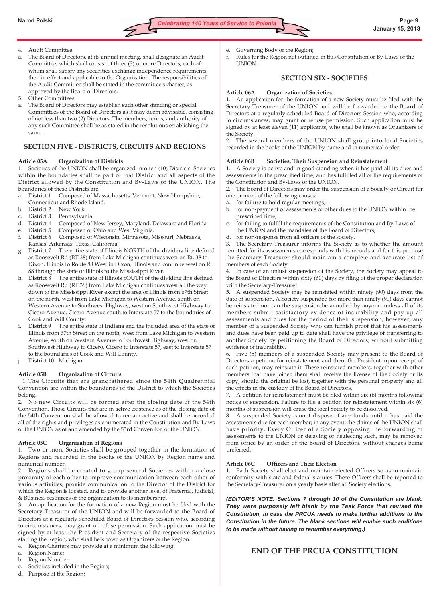

- 4. Audit Committee:
- The Board of Directors, at its annual meeting, shall designate an Audit Committee, which shall consist of three (3) or more Directors, each of whom shall satisfy any securities exchange independence requirements then in effect and applicable to the Organization. The responsibilities of the Audit Committee shall be stated in the committee's charter, as approved by the Board of Directors.
- 5. Other Committees:
- The Board of Directors may establish such other standing or special Committees of the Board of Directors as it may deem advisable, consisting of not less than two (2) Directors. The members, terms, and authority of any such Committee shall be as stated in the resolutions establishing the same.

# **SECTION FIVE - DISTRICTS, CIRCUITS AND REGIONS**

# **Article 05A Organization of Districts**

1. Societies of the UNION shall be organized into ten (10) Districts. Societies within the boundaries shall be part of that District and all aspects of the District allowed by the Constitution and By-Laws of the UNION. The boundaries of these Districts are:

- a. District 1 Composed of Massachusetts, Vermont, New Hampshire, Connecticut and Rhode Island.
- b. District 2 New York
- c. District 3 Pennsylvania
- d. District 4 Composed of New Jersey, Maryland, Delaware and Florida
- e. District 5 Composed of Ohio and West Virginia.
- f. District 6 Composed of Wisconsin, Minnesota, Missouri, Nebraska, Kansas, Arkansas, Texas, California
- District 7 The entire state of Illinois NORTH of the dividing line defined as Roosevelt Rd (RT 38) from Lake Michigan continues west on Rt. 38 to Dixon, Illinois to Route 88 West in Dixon, Illinois and continue west on Rt 88 through the state of Illinois to the Mississippi River.
- h. District 8 The entire state of Illinois SOUTH of the dividing line defined as Roosevelt Rd (RT 38) from Lake Michigan continues west all the way down to the Mississippi River except the area of Illinois from 67th Street on the north, west from Lake Michigan to Western Avenue, south on Western Avenue to Southwest Highway, west on Southwest Highway to Cicero Avenue, Cicero Avenue south to Interstate 57 to the boundaries of Cook and Will County.
- District 9 The entire state of Indiana and the included area of the state of Illinois from 67th Street on the north, west from Lake Michigan to Western Avenue, south on Western Avenue to Southwest Highway, west on Southwest Highway to Cicero, Cicero to Interstate 57, east to Interstate 57 to the boundaries of Cook and Will County.
- District 10 Michigan

# **Article 05B Organization of Circuits**

1. The Circuits that are grandfathered since the 54th Quadrennial Convention are within the boundaries of the District to which the Societies belong.

2. No new Circuits will be formed after the closing date of the 54th Convention. Those Circuits that are in active existence as of the closing date of the 54th Convention shall be allowed to remain active and shall be accorded all of the rights and privileges as enumerated in the Constitution and By-Laws of the UNION as of and amended by the 53rd Convention of the UNION.

# **Article 05C Organization of Regions**

1. Two or more Societies shall be grouped together in the formation of Regions and recorded in the books of the UNION by Region name and numerical number.

2. Regions shall be created to group several Societies within a close proximity of each other to improve communication between each other of various activities, provide communication to the Director of the District for which the Region is located, and to provide another level of Fraternal, Judicial, & Business resources of the organization to its membership.

3. An application for the formation of a new Region must be filed with the Secretary-Treasurer of the UNION and will be forwarded to the Board of Directors at a regularly scheduled Board of Directors Session who, according to circumstances, may grant or refuse permission. Such application must be signed by at least the President and Secretary of the respective Societies starting the Region, who shall be known as Organizers of the Region.

- 4. Region Charters may provide at a minimum the following:
- a. Region Name;
- b. Region Number;
- c. Societies included in the Region;
- d. Purpose of the Region;
- e. Governing Body of the Region;
- f. Rules for the Region not outlined in this Constitution or By-Laws of the UNION.

# **SECTION SIX - SOCIETIES**

# **Article 06A Organization of Societies**

1. An application for the formation of a new Society must be filed with the Secretary-Treasurer of the UNION and will be forwarded to the Board of Directors at a regularly scheduled Board of Directors Session who, according to circumstances, may grant or refuse permission. Such application must be signed by at least eleven (11) applicants, who shall be known as Organizers of the Society.

2. The several members of the UNION shall group into local Societies recorded in the books of the UNION by name and in numerical order.

# **Article 06B Societies, Their Suspension and Reinstatement**

1. A Society is active and in good standing when it has paid all its dues and assessments in the prescribed time, and has fulfilled all of the requirements of the Constitution and By-Laws of the UNION.

2. The Board of Directors may order the suspension of a Society or Circuit for one or more of the following causes:

- a. for failure to hold regular meetings;
- b. for non-payment of assessments or other dues to the UNION within the prescribed time;
- c. for failing to fulfill the requirements of the Constitution and By-Laws of the UNION and the mandates of the Board of Directors;
- d. for non-response from all officers of the society.

3. The Secretary-Treasurer informs the Society as to whether the amount remitted for its assessments corresponds with his records and for this purpose the Secretary-Treasurer should maintain a complete and accurate list of members of each Society.

4. In case of an unjust suspension of the Society, the Society may appeal to the Board of Directors within sixty (60) days by filing of the proper declaration with the Secretary-Treasurer.

5. A suspended Society may be reinstated within ninety (90) days from the date of suspension. A Society suspended for more than ninety (90) days cannot be reinstated nor can the suspension be annulled by anyone, unless all of its members submit satisfactory evidence of insurability and pay up all assessments and dues for the period of their suspension; however, any member of a suspended Society who can furnish proof that his assessments and dues have been paid up to date shall have the privilege of transferring to another Society by petitioning the Board of Directors, without submitting evidence of insurability.

6. Five (5) members of a suspended Society may present to the Board of Directors a petition for reinstatement and then, the President, upon receipt of such petition, may reinstate it. These reinstated members, together with other members that have joined them shall receive the license of the Society or its copy, should the original be lost, together with the personal property and all the effects in the custody of the Board of Directors.

7. A petition for reinstatement must be filed within six (6) months following notice of suspension. Failure to file a petition for reinstatement within six (6) months of suspension will cause the local Society to be dissolved.

8. A suspended Society cannot dispose of any funds until it has paid the assessments due for each member; in any event, the claims of the UNION shall have priority. Every Officer of a Society opposing the forwarding of assessments to the UNION or delaying or neglecting such, may be removed from office by an order of the Board of Directors, without charges being preferred.

# **Article 06C Officers and Their Election**

1. Each Society shall elect and maintain elected Officers so as to maintain conformity with state and federal statutes. These Officers shall be reported to the Secretary-Treasurer on a yearly basis after all Society elections.

*(EDITOR'S NOTE: Sections 7 through 10 of the Constitution are blank. They were purposely left blank by the Task Force that revised the Constitution, in case the PRCUA needs to make further additions to the Constitution in the future. The blank sections will enable such additions to be made without having to renumber everything.)*

# **END OF THE PRCUA CONSTITUTION**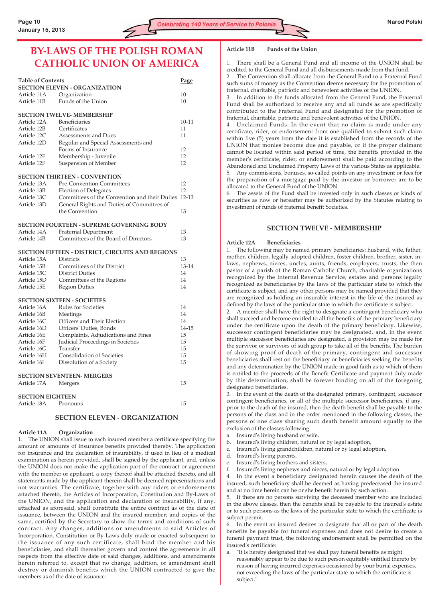# **BY-LAWS OF THE POLISH ROMAN CATHOLIC UNION OF AMERICA**

| <b>Table of Contents</b><br>Page |                                                  |           |  |  |
|----------------------------------|--------------------------------------------------|-----------|--|--|
|                                  | <b>SECTION ELEVEN - ORGANIZATION</b>             |           |  |  |
| Article 11A                      | Organization                                     | 10        |  |  |
| Article 11B                      | Funds of the Union                               | 10        |  |  |
|                                  | <b>SECTION TWELVE- MEMBERSHIP</b>                |           |  |  |
| Article 12A                      | Beneficiaries                                    | $10-11$   |  |  |
| Article 12B                      | Certificates                                     | 11        |  |  |
| Article 12C                      | Assessments and Dues                             | 11        |  |  |
| Article 12D                      | Regular and Special Assessments and              |           |  |  |
|                                  | Forms of Insurance                               | 12        |  |  |
| Article 12E                      | Membership - Juvenile                            | 12        |  |  |
| Article 12F                      | <b>Suspension of Member</b>                      | 12        |  |  |
|                                  | <b>SECTION THIRTEEN - CONVENTION</b>             |           |  |  |
| Article 13A                      | <b>Pre-Convention Committees</b>                 | 12        |  |  |
| Article 13B                      | <b>Election of Delegates</b>                     | 12        |  |  |
| Article 13C                      | Committees of the Convention and their Duties    | $12 - 13$ |  |  |
| Article 13D                      | General Rights and Duties of Committees of       |           |  |  |
|                                  | the Convention                                   | 13        |  |  |
|                                  | <b>SECTION FOURTEEN - SUPREME GOVERNING BODY</b> |           |  |  |
| Article 14A                      | <b>Fraternal Department</b>                      | 13        |  |  |
| Article 14B                      | Committees of the Board of Directors             | 13        |  |  |
|                                  | SECTION FIFTEEN - DISTRICT, CIRCUITS AND REGIONS |           |  |  |
| Article 15A                      | <b>Districts</b>                                 | 13        |  |  |
| Article 15B                      | Committees of the District                       | 13-14     |  |  |
| Article 15C                      | <b>District Duties</b>                           | 14        |  |  |
| Article 15D                      | Committees of the Regions                        | 14        |  |  |
| Article 15E                      | <b>Region Duties</b>                             | 14        |  |  |
|                                  | <b>SECTION SIXTEEN - SOCIETIES</b>               |           |  |  |
| Article 16A                      | Rules for Societies                              | 14        |  |  |
| Article 16B                      | Meetings                                         | 14        |  |  |
| Article 16C                      | Officers and Their Election                      | 14        |  |  |
| Article 16D                      | Officers' Duties, Bonds                          | 14-15     |  |  |
| Article 16E                      | Complaints, Adjudications and Fines              | 15        |  |  |
| Article 16F                      | Judicial Proceedings in Societies                | 15        |  |  |
| Article 16G                      | Transfer                                         | 15        |  |  |
| Article 16H                      | <b>Consolidation of Societies</b>                | 15        |  |  |
| Article 16I                      | Dissolution of a Society                         | 15        |  |  |
|                                  | <b>SECTION SEVENTEEN- MERGERS</b>                |           |  |  |
| Article 17A                      | Mergers                                          | 15        |  |  |
| <b>SECTION EIGHTEEN</b>          |                                                  |           |  |  |
| Article 18A                      | Pronouns                                         | 15        |  |  |
|                                  |                                                  |           |  |  |

#### **SECTION ELEVEN - ORGANIZATION**

#### **Article 11A Organization**

1. The UNION shall issue to each insured member a certificate specifying the amount or amounts of insurance benefits provided thereby. The application for insurance and the declaration of insurability, if used in lieu of a medical examination as herein provided, shall be signed by the applicant, and, unless the UNION does not make the application part of the contract or agreement with the member or applicant, a copy thereof shall be attached thereto, and all statements made by the applicant therein shall be deemed representations and not warranties. The certificate, together with any riders or endorsements attached thereto, the Articles of Incorporation, Constitution and By-Laws of the UNION, and the application and declaration of insurability, if any, attached as aforesaid, shall constitute the entire contract as of the date of issuance, between the UNION and the insured member; and copies of the same, certified by the Secretary to show the terms and conditions of such contract. Any changes, additions or amendments to said Articles of Incorporation, Constitution or By-Laws duly made or enacted subsequent to the issuance of any such certificate, shall bind the member and his beneficiaries, and shall thereafter govern and control the agreements in all respects from the effective date of said changes, additions, and amendments herein referred to, except that no change, addition, or amendment shall destroy or diminish benefits which the UNION contracted to give the members as of the date of issuance.

#### **Article 11B Funds of the Union**

1. There shall be a General Fund and all income of the UNION shall be credited to the General Fund and all disbursements made from that fund.

The Convention shall allocate from the General Fund to a Fraternal Fund such sums of money as the Convention deems necessary for the promotion of fraternal, charitable, patriotic and benevolent activities of the UNION.

3. In addition to the funds allocated from the General Fund, the Fraternal Fund shall be authorized to receive any and all funds as are specifically contributed to the Fraternal Fund and designated for the promotion of fraternal, charitable, patriotic and benevolent activities of the UNION.

4. Unclaimed Funds: In the event that no claim is made under any certificate, rider, or endorsement from one qualified to submit such claim within five (5) years from the date it is established from the records of the UNION that monies become due and payable, or if the proper claimant cannot be located within said period of time, the benefits provided in the member's certificate, rider, or endorsement shall be paid according to the Abandoned and Unclaimed Property Laws of the various States as applicable.

5. Any commissions, bonuses, so-called points on any investment or fees for the preparation of a mortgage paid by the investor or borrower are to be allocated to the General Fund of the UNION.

6. The assets of the Fund shall be invested only in such classes or kinds of securities as now or hereafter may be authorized by the Statutes relating to investment of funds of fraternal benefit Societies.

#### **SECTION TWELVE - MEMBERSHIP**

#### **Article 12A Beneficiaries**

1. The following may be named primary beneficiaries: husband, wife, father, mother, children, legally adopted children, foster children, brother, sister, inlaws, nephews, nieces, uncles, aunts, friends, employers, trusts, the then pastor of a parish of the Roman Catholic Church, charitable organizations recognized by the Internal Revenue Service, estates and persons legally recognized as beneficiaries by the laws of the particular state to which the certificate is subject, and any other persons may be named provided that they are recognized as holding an insurable interest in the life of the insured as defined by the laws of the particular state to which the certificate is subject.

2. A member shall have the right to designate a contingent beneficiary who shall succeed and become entitled to all the benefits of the primary beneficiary under the certificate upon the death of the primary beneficiary. Likewise, successor contingent beneficiaries may be designated, and, in the event multiple successor beneficiaries are designated, a provision may be made for the survivor or survivors of such group to take all of the benefits. The burden of showing proof of death of the primary, contingent and successor beneficiaries shall rest on the beneficiary or beneficiaries seeking the benefits and any determination by the UNION made in good faith as to which of them is entitled to the proceeds of the Benefit Certificate and payment duly made by this determination, shall be forever binding on all of the foregoing designated beneficiaries.

3. In the event of the death of the designated primary, contingent, successor contingent beneficiaries, or all of the multiple successor beneficiaries, if any, prior to the death of the insured, then the death benefit shall be payable to the persons of the class and in the order mentioned in the following classes, the persons of one class sharing such death benefit amount equally to the exclusion of the classes following:

- a. Insured's living husband or wife,
- b. Insured's living children, natural or by legal adoption,
- c. Insured's living grandchildren, natural or by legal adoption,
- d. Insured's living parents,
- e. Insured's living brothers and sisters,
- f. Insured's living nephews and nieces, natural or by legal adoption.

4. In the event a beneficiary designated herein causes the death of the insured, such beneficiary shall be deemed as having predeceased the insured and at no time herein can he or she benefit herein by such action.

5. If there are no persons surviving the deceased member who are included in the above classes, then the benefits shall be payable to the insured's estate or to such persons as the laws of the particular state to which the certificate is subject permit.

6. In the event an insured desires to designate that all or part of the death benefits be payable for funeral expenses and does not desire to create a funeral payment trust, the following endorsement shall be permitted on the insured's certificate:

a. "It is hereby designated that we shall pay funeral benefits as might reasonably appear to be due to such person equitably entitled thereto by reason of having incurred expenses occasioned by your burial expenses, not exceeding the laws of the particular state to which the certificate is subject."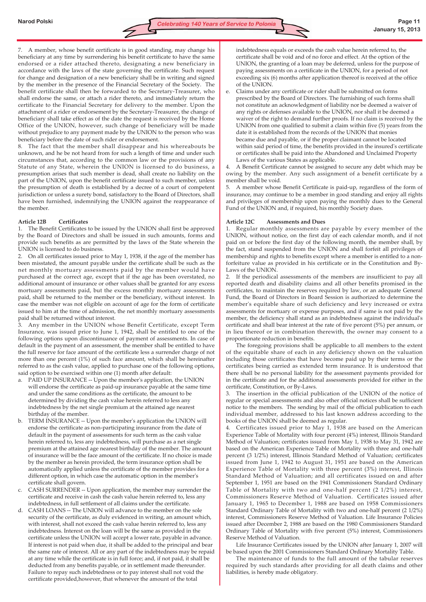7. A member, whose benefit certificate is in good standing, may change his beneficiary at any time by surrendering his benefit certificate to have the same endorsed or a rider attached thereto, designating a new beneficiary in accordance with the laws of the state governing the certificate. Such request for change and designation of a new beneficiary shall be in writing and signed by the member in the presence of the Financial Secretary of the Society. The benefit certificate shall then be forwarded to the Secretary-Treasurer, who shall endorse the same, or attach a rider thereto, and immediately return the certificate to the Financial Secretary for delivery to the member. Upon the attachment of a rider or endorsement by the Secretary-Treasurer, the change of beneficiary shall take effect as of the date the request is received by the Home Office of the UNION, however, such change of beneficiary will be made without prejudice to any payment made by the UNION to the person who was beneficiary before the date of such rider or endorsement.

8. The fact that the member shall disappear and his whereabouts be unknown, and he be not heard from for such a length of time and under such circumstances that, according to the common law or the provisions of any Statute of any State, wherein the UNION is licensed to do business, a presumption arises that such member is dead, shall create no liability on the part of the UNION, upon the benefit certificate issued to such member, unless the presumption of death is established by a decree of a court of competent jurisdiction or unless a surety bond, satisfactory to the Board of Directors, shall have been furnished, indemnifying the UNION against the reappearance of the member.

# **Article 12B Certificates**

1. The Benefit Certificates to be issued by the UNION shall first be approved by the Board of Directors and shall be issued in such amounts, forms and provide such benefits as are permitted by the laws of the State wherein the UNION is licensed to do business.

2. On all certificates issued prior to May 1, 1938, if the age of the member has been misstated, the amount payable under the certificate shall be such as the net monthly mortuary assessments paid by the member would have purchased at the correct age, except that if the age has been overstated, no additional amount of insurance or other values shall be granted for any excess mortuary assessments paid, but the excess monthly mortuary assessments paid, shall be returned to the member or the beneficiary, without interest. In case the member was not eligible on account of age for the form of certificate issued to him at the time of admission, the net monthly mortuary assessments paid shall be returned without interest.

3. Any member in the UNION whose Benefit Certificate, except Term Insurance, was issued prior to June 1, 1942, shall be entitled to one of the following options upon discontinuance of payment of assessments. In case of default in the payment of an assessment, the member shall be entitled to have the full reserve for face amount of the certificate less a surrender charge of not more than one percent (1%) of such face amount, which shall be hereinafter referred to as the cash value, applied to purchase one of the following options, said option to be exercised within one (1) month after default:

- a. PAID UP INSURANCE -- Upon the member's application, the UNION will endorse the certificate as paid-up insurance payable at the same time and under the same conditions as the certificate, the amount to be determined by dividing the cash value herein referred to less any indebtedness by the net single premium at the attained age nearest birthday of the member.
- b. TERM INSURANCE -- Upon the member's application the UNION will endorse the certificate as non-participating insurance from the date of default in the payment of assessments for such term as the cash value herein referred to, less any indebtedness, will purchase as a net single premium at the attained age nearest birthday of the member. The amount of insurance will be the face amount of the certificate. If no choice is made by the member as herein provided, the term insurance option shall be automatically applied unless the certificate of the member provides for a different option, in which case the automatic option in the member's certificate shall govern.
- c. CASH SURRENDER -- Upon application, the member may surrender the certificate and receive in cash the cash value herein referred to, less any indebtedness, in full settlement of all claims under the certificate.
- d. CASH LOANS -- The UNION will advance to the member on the sole security of the certificate, as duly evidenced in writing, an amount which, with interest, shall not exceed the cash value herein referred to, less any indebtedness. Interest on the loan will be the same as provided in the certificate unless the UNION will accept a lower rate, payable in advance. If interest is not paid when due, it shall be added to the principal and bear the same rate of interest. All or any part of the indebtedness may be repaid at any time while the certificate is in full force; and, if not paid, it shall be deducted from any benefits payable, or in settlement made thereunder. Failure to repay such indebtedness or to pay interest shall not void the certificate provided,however, that whenever the amount of the total

indebtedness equals or exceeds the cash value herein referred to, the certificate shall be void and of no force and effect. At the option of the UNION, the granting of a loan may be deferred, unless for the purpose of paying assessments on a certificate in the UNION, for a period of not exceeding six (6) months after application thereof is received at the office of the UNION.

e. Claims under any certificate or rider shall be submitted on forms prescribed by the Board of Directors. The furnishing of such forms shall not constitute an acknowledgment of liability nor be deemed a waiver of any rights or defenses available to the UNION, nor shall it be deemed a waiver of the right to demand further proofs. If no claim is received by the UNION from one qualified to submit a claim within five (5) years from the date it is established from the records of the UNION that monies became due and payable, or if the proper claimant cannot be located within said period of time, the benefits provided in the insured's certificate or certificates shall be paid into the Abandoned and Unclaimed Property Laws of the various States as applicable.

4. A Benefit Certificate cannot be assigned to secure any debt which may be owing by the member. Any such assignment of a benefit certificate by a member shall be void.

5. A member whose Benefit Certificate is paid-up, regardless of the form of insurance, may continue to be a member in good standing and enjoy all rights and privileges of membership upon paying the monthly dues to the General Fund of the UNION and, if required, his monthly Society dues.

### **Article 12C Assessments and Dues**

1. Regular monthly assessments are payable by every member of the UNION, without notice, on the first day of each calendar month, and if not paid on or before the first day of the following month, the member shall, by the fact, stand suspended from the UNION and shall forfeit all privileges of membership and rights to benefits except where a member is entitled to a nonforfeiture value as provided in his certificate or in the Constitution and By-Laws of the UNION.

2. If the periodical assessments of the members are insufficient to pay all reported death and disability claims and all other benefits promised in the certificates, to maintain the reserves required by law, or an adequate General Fund, the Board of Directors in Board Session is authorized to determine the member's equitable share of such deficiency and levy increased or extra assessments for mortuary or expense purposes, and if same is not paid by the member, the deficiency shall stand as an indebtedness against the individual's certificate and shall bear interest at the rate of five percent (5%) per annum, or in lieu thereof or in combination therewith, the owner may consent to a proportionate reduction in benefits.

The foregoing provisions shall be applicable to all members to the extent of the equitable share of each in any deficiency shown on the valuation including those certificates that have become paid up by their terms or the certificates being carried as extended term insurance. It is understood that there shall be no personal liability for the assessment payments provided for in the certificate and for the additional assessments provided for either in the certificate, Constitution, or By-Laws.

3. The insertion in the official publication of the UNION of the notice of regular or special assessments and also other official notices shall be sufficient notice to the members. The sending by mail of the official publication to each individual member, addressed to his last known address according to the books of the UNION shall be deemed as regular.

4. Certificates issued prior to May 1, 1938 are based on the American Experience Table of Mortality with four percent (4%) interest, Illinois Standard Method of Valuation; certificates issued from May 1, 1938 to May 31, 1942 are based on the American Experience Table of Mortality with three and one-half percent (3 1/2%) interest, Illinois Standard Method of Valuation; certificates issued from June 1, 1942 to August 31, 1951 are based on the American Experience Table of Mortality with three percent (3%) interest, Illinois Standard Method of Valuation; and all certificates issued on and after September 1, 1951 are based on the 1941 Commissioners Standard Ordinary Table of Mortality with two and one-half percent (2 1/2%) interest, Commissioners Reserve Method of Valuation. Certificates issued after January 1, 1965 to December 1, 1988 are based on 1958 Commissioners Standard Ordinary Table of Mortality with two and one-half percent (2 1/2%) interest, Commissioners Reserve Method of Valuation. Life Insurance Policies issued after December 2, 1988 are based on the 1980 Commissioners Standard Ordinary Table of Mortality with five percent (5%) interest, Commissioners Reserve Method of Valuation.

Life Insurance Certificates issued by the UNION after January 1, 2007 will be based upon the 2001 Commissioners Standard Ordinary Mortality Table.

The maintenance of funds to the full amount of the tabular reserves required by such standards after providing for all death claims and other liabilities, is hereby made obligatory.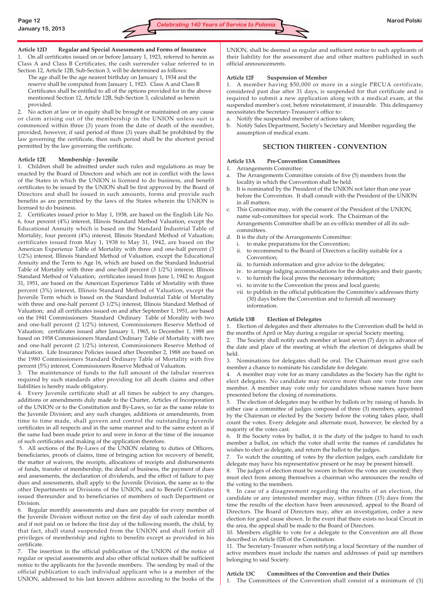# **Article 12D Regular and Special Assessments and Forms of Insurance**

1. On all certificates issued on or before January 1, 1923, referred to herein as Class A and Class B Certificates, the cash surrender value referred to in Section 12, Article 12B, Sub-Section 3, will be determined as follows:

The age shall be the age nearest birthday on January 1, 1934 and the reserve shall be computed from January 1, 1923. Class A and Class B Certificates shall be entitled to all of the options provided for in the above mentioned Section 12, Article 12B, Sub-Section 3, calculated as herein provided.

2. No action at law or in equity shall be brought or maintained on any cause or claim arising out of the membership in the UNION unless suit is commenced within three (3) years from the date of death of the member, provided, however, if said period of three (3) years shall be prohibited by the law governing the certificate, then such period shall be the shortest period permitted by the law governing the certificate.

# **Article 12E Membership - Juvenile**

1. Children shall be admitted under such rules and regulations as may be enacted by the Board of Directors and which are not in conflict with the laws of the States in which the UNION is licensed to do business, and benefit certificates to be issued by the UNION shall be first approved by the Board of Directors and shall be issued in such amounts, forms and provide such benefits as are permitted by the laws of the States wherein the UNION is licensed to do business.

2. Certificates issued prior to May 1, 1938, are based on the English Life No. 6, four percent (4%) interest, Illinois Standard Method Valuation, except the Educational Annuity which is based on the Standard Industrial Table of Mortality, four percent (4%) interest, Illinois Standard Method of Valuation; certificates issued from May 1, 1938 to May 31, 1942, are based on the American Experience Table of Mortality with three and one-half percent (3 1/2%) interest, Illinois Standard Method of Valuation, except the Educational Annuity and the Term to Age 16, which are based on the Standard Industrial Table of Mortality with three and one-half percent (3 1/2%) interest, Illinois Standard Method of Valuation; certificates issued from June 1, 1942 to August 31, 1951, are based on the American Experience Table of Mortality with three percent (3%) interest, Illinois Standard Method of Valuation, except the Juvenile Term which is based on the Standard Industrial Table of Mortality with three and one-half percent (3 1/2%) interest, Illinois Standard Method of Valuation; and all certificates issued on and after September 1, 1951, are based on the 1941 Commissioners Standard Ordinary Table of Morality with two and one-half percent (2 1/2%) interest, Commissioners Reserve Method of Valuation; certificates issued after January 1, 1965, to December 1, 1988 are based on 1958 Commissioners Standard Ordinary Table of Mortality with two and one-half percent (2 1/2%) interest, Commissioners Reserve Method of Valuation. Life Insurance Policies issued after December 2, 1988 are based on the 1980 Commissioners Standard Ordinary Table of Mortality with five percent (5%) interest, Commissioners Reserve Method of Valuation.

3. The maintenance of funds to the full amount of the tabular reserves required by such standards after providing for all death claims and other liabilities is hereby made obligatory.

4. Every Juvenile certificate shall at all times be subject to any changes, additions or amendments duly made to the Charter, Articles of Incorporation of the UNION or to the Constitution and By-Laws, so far as the same relate to the Juvenile Division; and any such changes, additions or amendments, from time to time made, shall govern and control the outstanding Juvenile certificates in all respects and in the same manner and to the same extent as if the same had been made prior to and were in force at the time of the issuance of such certificates and making of the application therefore.

5. All sections of the By-Laws of the UNION relating to duties of Officers, beneficiaries, proofs of claims, time of bringing action for recovery of benefit, the matter of waivers, the receipts, allocations of receipts and disbursements of funds, transfer of membership, the detail of business, the payment of dues and assessments, the declaration of dividends, and the effect of failure to pay dues and assessments, shall apply to the Juvenile Division, the same as to the other Departments or Divisions of the UNION, and to Benefit Certificates issued thereunder and to beneficiaries of members of such Department or Division.

6. Regular monthly assessments and dues are payable for every member of the Juvenile Division without notice on the first day of each calendar month and if not paid on or before the first day of the following month, the child, by that fact, shall stand suspended from the UNION and shall forfeit all privileges of membership and rights to benefits except as provided in his certificate.

7. The insertion in the official publication of the UNION of the notice of regular or special assessments and also other official notices shall be sufficient notice to the applicants for the Juvenile members. The sending by mail of the official publication to each individual applicant who is a member of the UNION, addressed to his last known address according to the books of the UNION, shall be deemed as regular and sufficient notice to such applicants of their liability for the assessment due and other matters published in such official announcements.

# **Article 12F Suspension of Member**

1. A member having \$50,000 or more in a single PRCUA certificate, considered past due after 31 days, is suspended for that certificate and is required to submit a new application along with a medical exam, at the suspended member's cost, before reinstatement, if insurable. This delinquency necessitates the Secretary-Treasurer's office to:

- a. Notify the suspended member of actions taken;
- b. Notify Sales Department, Society's Secretary and Member regarding the assumption of medical exam.

# **SECTION THIRTEEN - CONVENTION**

# **Article 13A Pre-Convention Committees**

- 1. Arrangements Committee:
- The Arrangements Committee consists of five (5) members from the locality in which the Convention shall be held.
- It is nominated by the President of the UNION not later than one year before the Convention. It shall consult with the President of the UNION in all matters.
- c. This Committee may, with the consent of the President of the UNION, name sub-committees for special work. The Chairman of the Arrangements Committee shall be an ex-officio member of all its subcommittees.
- d. It is the duty of the Arrangements Committee:
- i. to make preparations for the Convention;
	- ii. to recommend to the Board of Directors a facility suitable for a Convention;
	- iii. to furnish information and give advice to the delegates;
	- iv. to arrange lodging accommodations for the delegates and their guests; v. to furnish the local press the necessary information;
	- vi. to invite to the Convention the press and local guests;
	- vii to publish in the official publication the Committee's addresses thirty (30) days before the Convention and to furnish all necessary information.

# **Article 13B Election of Delegates**

1. Election of delegates and their alternates to the Convention shall be held in the months of April or May during a regular or special Society meeting.

2. The Society shall notify each member at least seven (7) days in advance of the date and place of the meeting at which the election of delegates shall be held.

3. Nominations for delegates shall be oral. The Chairman must give each member a chance to nominate his candidate for delegate.

4. A member may vote for as many candidates as the Society has the right to elect delegates. No candidate may receive more than one vote from one member. A member may vote only for candidates whose names have been presented before the closing of nominations.

The election of delegates may be either by ballots or by raising of hands. In either case a committee of judges composed of three (3) members, appointed by the Chairman or elected by the Society before the voting takes place, shall count the votes. Every delegate and alternate must, however, be elected by a majority of the votes cast.

6. If the Society votes by ballot, it is the duty of the judges to hand to each member a ballot, on which the voter shall write the names of candidates he wishes to elect as delegate, and return the ballot to the judges.

7. To watch the counting of votes by the election judges, each candidate for delegate may have his representative present or he may be present himself.

8. The judges of election must be sworn in before the votes are counted; they must elect from among themselves a chairman who announces the results of the voting to the members.

9. In case of a disagreement regarding the results of an election, the candidate or any interested member may, within fifteen (15) days from the time the results of the election have been announced, appeal to the Board of Directors. The Board of Directors may, after an investigation, order a new election for good cause shown. In the event that there exists no local Circuit in the area, the appeal shall be made to the Board of Directors.

10. Members eligible to vote for a delegate to the Convention are all those described in Article 02B of the Constitution.

11. The Secretary-Treasurer when notifying a local Secretary of the number of active members must include the names and addresses of paid up members belonging to said Society.

# **Article 13C Committees of the Convention and their Duties**

1. The Committees of the Convention shall consist of a minimum of (3)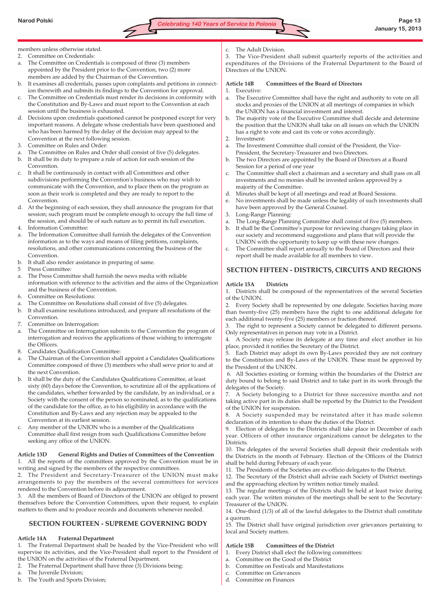

# members unless otherwise stated.

- 2. Committee on Credentials:
- a. The Committee on Credentials is composed of three (3) members appointed by the President prior to the Convention, two (2) more members are added by the Chairman of the Convention.
- b. It examines all credentials, passes upon complaints and petitions in connection therewith and submits its findings to the Convention for approval.
- The Committee on Credentials must render its decisions in conformity with the Constitution and By-Laws and must report to the Convention at each session until the business is exhausted.
- d. Decisions upon credentials questioned cannot be postponed except for very important reasons. A delegate whose credentials have been questioned and who has been harmed by the delay of the decision may appeal to the Convention at the next following session.
- 3. Committee on Rules and Order:
- a. The Committee on Rules and Order shall consist of five (5) delegates.
- b. It shall be its duty to prepare a rule of action for each session of the Convention.
- c. It shall be continuously in contact with all Committees and other subdivisions performing the Convention's business who may wish to communicate with the Convention, and to place them on the program as soon as their work is completed and they are ready to report to the Convention.
- d. At the beginning of each session, they shall announce the program for that session; such program must be complete enough to occupy the full time of the session, and should be of such nature as to permit its full execution.
- 4. Information Committee:
- a. The Information Committee shall furnish the delegates of the Convention information as to the ways and means of filing petitions, complaints, resolutions, and other communications concerning the business of the Convention.
- b. It shall also render assistance in preparing of same.
- 5 Press Committee:
- a. The Press Committee shall furnish the news media with reliable information with reference to the activities and the aims of the Organization and the business of the Convention.
- 6. Committee on Resolutions:
- a. The Committee on Resolutions shall consist of five (5) delegates.
- b. It shall examine resolutions introduced, and prepare all resolutions of the Convention.
- 7. Committee on Interrogation:
- a. The Committee on Interrogation submits to the Convention the program of interrogation and receives the applications of those wishing to interrogate the Officers.
- 8. Candidates Qualification Committee:
- a. The Chairman of the Convention shall appoint a Candidates Qualifications Committee composed of three (3) members who shall serve prior to and at the next Convention.
- b. It shall be the duty of the Candidates Qualifications Committee, at least sixty (60) days before the Convention, to scrutinize all of the applications of the candidates, whether forwarded by the candidate, by an individual, or a Society with the consent of the person so nominated, as to the qualifications of the candidate for the office, as to his eligibility in accordance with the Constitution and By-Laws and any rejection may be appealed to the Convention at its earliest session.
- Any member of the UNION who is a member of the Qualifications Committee shall first resign from such Qualifications Committee before seeking any office of the UNION.

# **Article 13D General Rights and Duties of Committees of the Convention** 1. All the reports of the committees approved by the Convention must be in

writing and signed by the members of the respective committees. 2. The President and Secretary-Treasurer of the UNION must make arrangements to pay the members of the several committees for services rendered to the Convention before its adjournment.

3. All the members of Board of Directors of the UNION are obliged to present themselves before the Convention Committees, upon their request, to explain matters to them and to produce records and documents whenever needed.

# **SECTION FOURTEEN - SUPREME GOVERNING BODY**

# **Article 14A Fraternal Department**

1. The Fraternal Department shall be headed by the Vice-President who will supervise its activities, and the Vice-President shall report to the President of the UNION on the activities of the Fraternal Department.

- 2. The Fraternal Department shall have three (3) Divisions being:
- a. The Juvenile Division;
- b. The Youth and Sports Division;

c. The Adult Division.

3. The Vice-President shall submit quarterly reports of the activities and expenditures of the Divisions of the Fraternal Department to the Board of Directors of the UNION.

#### **Article 14B Committees of the Board of Directors**

#### 1. Executive:

- a. The Executive Committee shall have the right and authority to vote on all stocks and proxies of the UNION at all meetings of companies in which the UNION has a financial investment and interest.
- b. The majority vote of the Executive Committee shall decide and determine the position that the UNION shall take on all issues on which the UNION has a right to vote and cast its vote or votes accordingly.
- 2. Investment:
- a. The Investment Committee shall consist of the President, the Vice-President, the Secretary-Treasurer and two Directors.
- b. The two Directors are appointed by the Board of Directors at a Board Session for a period of one year
- c. The Committee shall elect a chairman and a secretary and shall pass on all investments and no monies shall be invested unless approved by a majority of the Committee.
- d. Minutes shall be kept of all meetings and read at Board Sessions.
- e. No investments shall be made unless the legality of such investments shall have been approved by the General Counsel.
- 3. Long-Range Planning:
- a. The Long-Range Planning Committee shall consist of five (5) members.
- b. It shall be the Committee's purpose for reviewing changes taking place in our society and recommend suggestions and plans that will provide the UNION with the opportunity to keep up with these new changes.
- c. The Committee shall report annually to the Board of Directors and their report shall be made available for all members to view.

# **SECTION FIFTEEN - DISTRICTS, CIRCUITS AND REGIONS**

### **Article 15A Districts**

1. Districts shall be composed of the representatives of the several Societies of the UNION.

2. Every Society shall be represented by one delegate. Societies having more than twenty-five (25) members have the right to one additional delegate for each additional twenty-five (25) members or fraction thereof.

3. The right to represent a Society cannot be delegated to different persons. Only representatives in person may vote in a District.

4. A Society may release its delegate at any time and elect another in his place, provided it notifies the Secretary of the District.

5. Each District may adopt its own By-Laws provided they are not contrary to the Constitution and By-Laws of the UNION. These must be approved by the President of the UNION.

6. All Societies existing or forming within the boundaries of the District are duty bound to belong to said District and to take part in its work through the delegates of the Society.

7. A Society belonging to a District for three successive months and not taking active part in its duties shall be reported by the District to the President of the UNION for suspension.

8. A Society suspended may be reinstated after it has made solemn declaration of its intention to share the duties of the District.

9. Election of delegates to the Districts shall take place in December of each year. Officers of other insurance organizations cannot be delegates to the Districts.

10. The delegates of the several Societies shall deposit their credentials with the Districts in the month of February. Election of the Officers of the District shall be held during February of each year.

11. The Presidents of the Societies are ex-officio delegates to the District.

12. The Secretary of the District shall advise each Society of District meetings and the approaching election by written notice timely mailed.

13. The regular meetings of the Districts shall be held at least twice during each year. The written minutes of the meetings shall be sent to the Secretary-Treasurer of the UNION.

14. One-third (1/3) of all of the lawful delegates to the District shall constitute a quorum.

15. The District shall have original jurisdiction over grievances pertaining to local and Society matters.

# **Article 15B Committees of the District**

- 1. Every District shall elect the following committees:
- a. Committee on the Good of the District
- b. Committee on Festivals and Manifestations
- c. Committee on Grievances
- d. Committee on Finances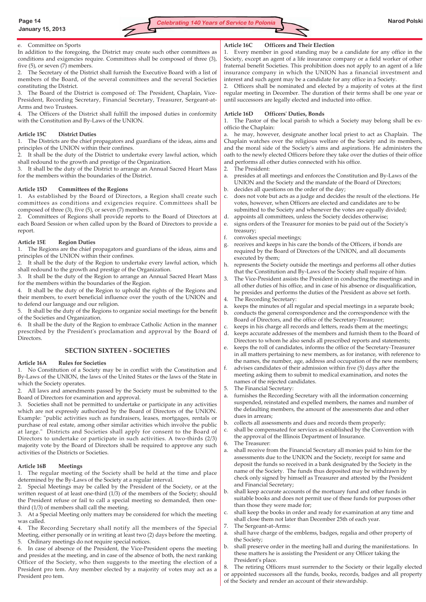

#### e. Committee on Sports

In addition to the foregoing, the District may create such other committees as conditions and exigencies require. Committees shall be composed of three (3), five (5), or seven (7) members.

The Secretary of the District shall furnish the Executive Board with a list of members of the Board, of the several committees and the several Societies constituting the District.

3. The Board of the District is composed of: The President, Chaplain, Vice-President, Recording Secretary, Financial Secretary, Treasurer, Sergeant-at-Arms and two Trustees.

4. The Officers of the District shall fulfill the imposed duties in conformity with the Constitution and By-Laws of the UNION.

#### **Article 15C District Duties**

1. The Districts are the chief propagators and guardians of the ideas, aims and principles of the UNION within their confines.

2. It shall be the duty of the District to undertake every lawful action, which shall redound to the growth and prestige of the Organization.

3. It shall be the duty of the District to arrange an Annual Sacred Heart Mass for the members within the boundaries of the District.

#### **Article 15D Committees of the Regions**

1. As established by the Board of Directors, a Region shall create such committees as conditions and exigencies require. Committees shall be composed of three (3), five (5), or seven (7) members.

2. Committees of Regions shall provide reports to the Board of Directors at each Board Session or when called upon by the Board of Directors to provide a report.

#### **Article 15E Region Duties**

1. The Regions are the chief propagators and guardians of the ideas, aims and principles of the UNION within their confines.

It shall be the duty of the Region to undertake every lawful action, which shall redound to the growth and prestige of the Organization.

3. It shall be the duty of the Region to arrange an Annual Sacred Heart Mass for the members within the boundaries of the Region.

4. It shall be the duty of the Region to uphold the rights of the Regions and their members, to exert beneficial influence over the youth of the UNION and to defend our language and our religion.

5. It shall be the duty of the Regions to organize social meetings for the benefit of the Societies and Organization.

6. It shall be the duty of the Region to embrace Catholic Action in the manner prescribed by the President's proclamation and approval by the Board of Directors.

#### **SECTION SIXTEEN - SOCIETIES**

#### **Article 16A Rules for Societies**

1. No Constitution of a Society may be in conflict with the Constitution and By-Laws of the UNION, the laws of the United States or the laws of the State in which the Society operates.

2. All laws and amendments passed by the Society must be submitted to the Board of Directors for examination and approval.

3. Societies shall not be permitted to undertake or participate in any activities which are not expressly authorized by the Board of Directors of the UNION. Example: "public activities such as fundraisers, leases, mortgages, rentals or purchase of real estate, among other similar activities which involve the public at large." Districts and Societies shall apply for consent to the Board of Directors to undertake or participate in such activities. A two-thirds (2/3) majority vote by the Board of Directors shall be required to approve any such activities of the Districts or Societies.

#### **Article 16B Meetings**

1. The regular meeting of the Society shall be held at the time and place determined by the By-Laws of the Society at a regular interval.

2. Special Meetings may be called by the President of the Society, or at the written request of at least one-third (1/3) of the members of the Society; should the President refuse or fail to call a special meeting so demanded, then onethird (1/3) of members shall call the meeting.

3. At a Special Meeting only matters may be considered for which the meeting was called.

4. The Recording Secretary shall notify all the members of the Special Meeting, either personally or in writing at least two (2) days before the meeting. 5. Ordinary meetings do not require special notices.

6. In case of absence of the President, the Vice-President opens the meeting and presides at the meeting, and in case of the absence of both, the next ranking Officer of the Society, who then suggests to the meeting the election of a President pro tem. Any member elected by a majority of votes may act as a President pro tem.

#### **Article 16C Officers and Their Election**

1. Every member in good standing may be a candidate for any office in the Society, except an agent of a life insurance company or a field worker of other fraternal benefit Societies. This prohibition does not apply to an agent of a life insurance company in which the UNION has a financial investment and interest and such agent may be a candidate for any office in a Society.

2. Officers shall be nominated and elected by a majority of votes at the first regular meeting in December. The duration of their terms shall be one year or until successors are legally elected and inducted into office.

#### **Article 16D Officers' Duties, Bonds**

1. The Pastor of the local parish to which a Society may belong shall be exofficio the Chaplain:

a. he may, however, designate another local priest to act as Chaplain. The Chaplain watches over the religious welfare of the Society and its members, and the moral side of the Society's aims and aspirations. He administers the oath to the newly elected Officers before they take over the duties of their office and performs all other duties connected with his office.

- 2. The President:
- a. presides at all meetings and enforces the Constitution and By-Laws of the UNION and the Society and the mandate of the Board of Directors;
- b. decides all questions on the order of the day;
- c. does not vote but acts as a judge and decides the result of the elections. He votes, however, when Officers are elected and candidates are to be submitted to the Society and whenever the votes are equally divided;
- d. appoints all committees, unless the Society decides otherwise;
- signs orders of the Treasurer for monies to be paid out of the Society's treasury;
- f. convokes special meetings;
- receives and keeps in his care the bonds of the Officers, if bonds are required by the Board of Directors of the UNION, and all documents executed by them;
- h. represents the Society outside the meetings and performs all other duties that the Constitution and By-Laws of the Society shall require of him.
- The Vice-President assists the President in conducting the meetings and in all other duties of his office, and in case of his absence or disqualification, he presides and performs the duties of the President as above set forth. The Recording Secretary:
- keeps the minutes of all regular and special meetings in a separate book;
- b. conducts the general correspondence and the correspondence with the Board of Directors, and the office of the Secretary-Treasurer;
- keeps in his charge all records and letters, reads them at the meetings;
- d. keeps accurate addresses of the members and furnish them to the Board of Directors to whom he also sends all prescribed reports and statements;
- e. keeps the roll of candidates, informs the office of the Secretary-Treasurer in all matters pertaining to new members, as for instance, with reference to the names, the number, age, address and occupation of the new members;
- advises candidates of their admission within five (5) days after the meeting asking them to submit to medical examination, and notes the names of the rejected candidates.
- 5. The Financial Secretary:
- a. furnishes the Recording Secretary with all the information concerning suspended, reinstated and expelled members, the names and number of the defaulting members, the amount of the assessments due and other dues in arrears;
- b. collects all assessments and dues and records them properly;
- shall be compensated for services as established by the Convention with the approval of the Illinois Department of Insurance.
- 6. The Treasurer:
- a. shall receive from the Financial Secretary all monies paid to him for the assessments due to the UNION and the Society, receipt for same and deposit the funds so received in a bank designated by the Society in the name of the Society. The funds thus deposited may be withdrawn by check only signed by himself as Treasurer and attested by the President and Financial Secretary;
- shall keep accurate accounts of the mortuary fund and other funds in suitable books and does not permit use of these funds for purposes other than those they were made for;
- c. shall keep the books in order and ready for examination at any time and shall close them not later than December 25th of each year.
- 7. The Sergeant-at-Arms:
- a. shall have charge of the emblems, badges, regalia and other property of the Society;
- b. shall preserve order in the meeting hall and during the manifestations. In these matters he is assisting the President or any Officer taking the President's place.

8. The retiring Officers must surrender to the Society or their legally elected or appointed successors all the funds, books, records, badges and all property

of the Society and render an account of their stewardship.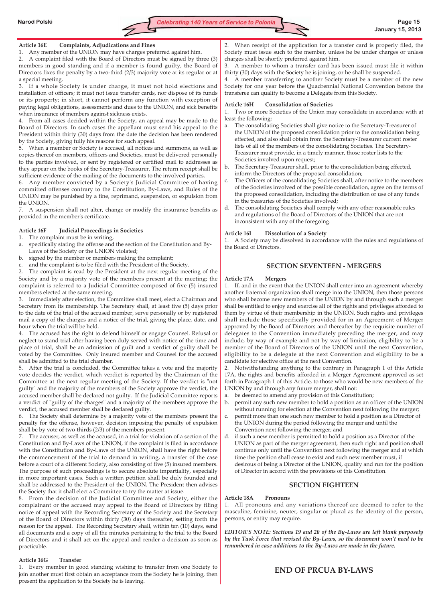

### **Article 16E Complaints, Adjudications and Fines**

1. Any member of the UNION may have charges preferred against him.

2. A complaint filed with the Board of Directors must be signed by three (3) members in good standing and if a member is found guilty, the Board of Directors fixes the penalty by a two-third (2/3) majority vote at its regular or at a special meeting.

3. If a whole Society is under charge, it must not hold elections and installation of officers; it must not issue transfer cards, nor dispose of its funds or its property; in short, it cannot perform any function with exception of paying legal obligations, assessments and dues to the UNION, and sick benefits when insurance of members against sickness exists.

4. From all cases decided within the Society, an appeal may be made to the Board of Directors. In such cases the appellant must send his appeal to the President within thirty (30) days from the date the decision has been rendered by the Society, giving fully his reasons for such appeal.

5. When a member or Society is accused, all notices and summons, as well as copies thereof on members, officers and Societies, must be delivered personally to the parties involved, or sent by registered or certified mail to addresses as they appear on the books of the Secretary-Treasurer. The return receipt shall be sufficient evidence of the mailing of the documents to the involved parties.

6. Any member convicted by a Society's Judicial Committee of having committed offenses contrary to the Constitution, By-Laws, and Rules of the UNION may be punished by a fine, reprimand, suspension, or expulsion from the UNION.

7. A suspension shall not alter, change or modify the insurance benefits as provided in the member's certificate.

### **Article 16F Judicial Proceedings in Societies**

1. The complaint must be in writing,

- a. specifically stating the offense and the section of the Constitution and By-Laws of the Society or the UNION violated;
- b. signed by the member or members making the complaint;
- c. and the complaint is to be filed with the President of the Society.

2. The complaint is read by the President at the next regular meeting of the Society and by a majority vote of the members present at the meeting; the complaint is referred to a Judicial Committee composed of five (5) insured members elected at the same meeting.

3. Immediately after election, the Committee shall meet, elect a Chairman and Secretary from its membership. The Secretary shall, at least five (5) days prior to the date of the trial of the accused member, serve personally or by registered mail a copy of the charges and a notice of the trial, giving the place, date, and hour when the trial will be held.

4. The accused has the right to defend himself or engage Counsel. Refusal or neglect to stand trial after having been duly served with notice of the time and place of trial, shall be an admission of guilt and a verdict of guilty shall be voted by the Committee. Only insured member and Counsel for the accused shall be admitted to the trial chamber.

5. After the trial is concluded, the Committee takes a vote and the majority vote decides the verdict, which verdict is reported by the Chairman of the Committee at the next regular meeting of the Society. If the verdict is "not guilty" and the majority of the members of the Society approve the verdict, the accused member shall be declared not guilty. If the Judicial Committee reports a verdict of "guilty of the charges" and a majority of the members approve the verdict, the accused member shall be declared guilty.

6. The Society shall determine by a majority vote of the members present the penalty for the offense, however, decision imposing the penalty of expulsion shall be by vote of two-thirds (2/3) of the members present.

7. The accuser, as well as the accused, in a trial for violation of a section of the Constitution and By-Laws of the UNION, if the complaint is filed in accordance with the Constitution and By-Laws of the UNION, shall have the right before the commencement of the trial to demand in writing, a transfer of the case before a court of a different Society, also consisting of five (5) insured members. The purpose of such proceedings is to secure absolute impartiality, especially in more important cases. Such a written petition shall be duly founded and shall be addressed to the President of the UNION. The President then advises the Society that it shall elect a Committee to try the matter at issue.

8. From the decision of the Judicial Committee and Society, either the complainant or the accused may appeal to the Board of Directors by filing notice of appeal with the Recording Secretary of the Society and the Secretary of the Board of Directors within thirty (30) days thereafter, setting forth the reason for the appeal. The Recording Secretary shall, within ten (10) days, send all documents and a copy of all the minutes pertaining to the trial to the Board of Directors and it shall act on the appeal and render a decision as soon as practicable.

#### **Article 16G Transfer**

1. Every member in good standing wishing to transfer from one Society to join another must first obtain an acceptance from the Society he is joining, then present the application to the Society he is leaving.

2. When receipt of the application for a transfer card is properly filed, the Society must issue such to the member, unless he be under charges or unless charges shall be shortly preferred against him.

3. A member to whom a transfer card has been issued must file it within thirty (30) days with the Society he is joining, or he shall be suspended.

4. A member transferring to another Society must be a member of the new Society for one year before the Quadrennial National Convention before the transferee can qualify to become a Delegate from this Society.

#### **Article 16H Consolidation of Societies**

1. Two or more Societies of the Union may consolidate in accordance with at least the following:

- a. The consolidating Societies shall give notice to the Secretary-Treasurer of the UNION of the proposed consolidation prior to the consolidation being effected, and also shall obtain from the Secretary-Treasurer current roster lists of all of the members of the consolidating Societies. The Secretary-Treasurer must provide, in a timely manner, those roster lists to the Societies involved upon request;
- b. The Secretary-Treasurer shall, prior to the consolidation being effected, inform the Directors of the proposed consolidation;
- The Officers of the consolidating Societies shall, after notice to the members of the Societies involved of the possible consolidation, agree on the terms of the proposed consolidation, including the distribution or use of any funds in the treasuries of the Societies involved;
- d. The consolidating Societies shall comply with any other reasonable rules and regulations of the Board of Directors of the UNION that are not inconsistent with any of the foregoing.

#### **Article 16I Dissolution of a Society**

1. A Society may be dissolved in accordance with the rules and regulations of the Board of Directors.

### **SECTION SEVENTEEN - MERGERS**

#### **Article 17A Mergers**

1. If, and in the event that the UNION shall enter into an agreement whereby another fraternal organization shall merge into the UNION, then those persons who shall become new members of the UNION by and through such a merger shall be entitled to enjoy and exercise all of the rights and privileges afforded to them by virtue of their membership in the UNION. Such rights and privileges shall include those specifically provided for in an Agreement of Merger approved by the Board of Directors and thereafter by the requisite number of delegates to the Convention immediately preceding the merger, and may include, by way of example and not by way of limitation, eligibility to be a member of the Board of Directors of the UNION until the next Convention, eligibility to be a delegate at the next Convention and eligibility to be a candidate for elective office at the next Convention.

2. Notwithstanding anything to the contrary in Paragraph 1 of this Article 17A, the rights and benefits afforded in a Merger Agreement approved as set forth in Paragraph 1 of this Article, to those who would be new members of the UNION by and through any future merger, shall not:

- a. be deemed to amend any provision of this Constitution;
- b. permit any such new member to hold a position as an officer of the UNION without running for election at the Convention next following the merger;
- c. permit more than one such new member to hold a position as a Director of the UNION during the period following the merger and until the Convention next following the merger; and
- d. if such a new member is permitted to hold a position as a Director of the UNION as part of the merger agreement, then such right and position shall continue only until the Convention next following the merger and at which time the position shall cease to exist and such new member must, if desirous of being a Director of the UNION, qualify and run for the position of Director in accord with the provisions of this Constitution.

# **SECTION EIGHTEEN**

#### **Article 18A Pronouns**

1. All pronouns and any variations thereof are deemed to refer to the masculine, feminine, neuter, singular or plural as the identity of the person, persons, or entity may require.

*EDITOR'S NOTE: Sections 19 and 20 of the By-Laws are left blank purposely by the Task Force that revised the By-Laws, so the document won't need to be renumbered in case additions to the By-Laws are made in the future.* 

# **END OF PRCUA BY-LAWS**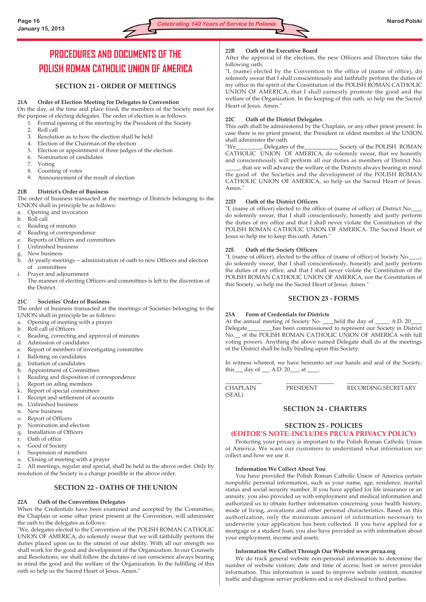# **PROCEDURES AND DOCUMENTS OF THE POLISH ROMAN CATHOLIC UNION OF AMERICA**

# **SECTION 21 - ORDER OF MEETINGS**

# **21A Order of Election Meeting for Delegates to Convention**

On the day, at the time and place fixed, the members of the Society meet for the purpose of electing delegates. The order of election is as follows:

- 1. Formal opening of the meeting by the President of the Society
- 2. Roll call
- 3. Resolution as to how the election shall be held
- 4. Election of the Chairman of the election
- 5. Election or appointment of three judges of the election
- 6. Nomination of candidates
- 7. Voting
- 8. Counting of votes
- 9. Announcement of the result of election

# **21B District's Order of Business**

The order of business transacted at the meetings of Districts belonging to the UNION shall in principle be as follows:

- a. Opening and invocation
- b. Roll call
- c. Reading of minutes
- d. Reading of correspondence
- e. Reports of Officers and committees
- f. Unfinished business
- g. New business
- h. At yearly meetings -- administration of oath to new Officers and election of committees

i. Prayer and adjournment The manner of electing Officers and committees is left to the discretion of the District.

# **21C Societies' Order of Business**

The order of business transacted at the meetings of Societies belonging to the UNION shall in principle be as follows:

- a. Opening of meeting with a prayer
- b. Roll call of Officers
- c. Reading, correcting and approval of minutes
- d. Admission of candidates
- e. Report of members of investigating committee
- f. Balloting on candidates
- g. Initiation of candidates
- h. Appointment of Committees
- i. Reading and disposition of correspondence
- j. Report on ailing members
- k. Report of special committees
- l. Receipt and settlement of accounts
- m. Unfinished business
- n. New business
- o. Report of Officers
- p. Nomination and election
- q. Installation of Officers
- r. Oath of office
- s. Good of Society
- t. Suspension of members
- u. Closing of meeting with a prayer

2. All meetings, regular and special, shall be held in the above order. Only by resolution of the Society is a change possible in the above order.

# **SECTION 22 - OATHS OF THE UNION**

# **22A Oath of the Convention Delegates**

When the Credentials have been examined and accepted by the Committee, the Chaplain or some other priest present at the Convention, will administer the oath to the delegates as follows:

"We, delegates elected to the Convention of the POLISH ROMAN CATHOLIC UNION OF AMERICA, do solemnly swear that we will faithfully perform the duties placed upon us to the utmost of our ability. With all our strength we shall work for the good and development of the Organization. In our Counsels and Resolutions, we shall follow the dictates of our conscience always bearing in mind the good and the welfare of the Organization. In the fulfilling of this oath so help us the Sacred Heart of Jesus. Amen."

# **22B Oath of the Executive Board**

After the approval of the election, the new Officers and Directors take the following oath:

"I, (name) elected by the Convention to the office of (name of office), do solemnly swear that I shall conscientiously and faithfully perform the duties of my office in the spirit of the Constitution of the POLISH ROMAN CATHOLIC UNION OF AMERICA; that I shall earnestly promote the good and the welfare of the Organization. In the keeping of this oath, so help me the Sacred Heart of Jesus. Amen."

# **22C Oath of the District Delegates**

This oath shall be administered by the Chaplain, or any other priest present. In case there is no priest present, the President or oldest member of the UNION shall administer the oath.

"We\_\_\_\_\_\_\_\_\_, Delegates of the\_\_\_\_\_\_\_\_\_\_\_\_ Society of the POLISH ROMAN CATHOLIC UNION OF AMERICA, do solemnly swear, that we honestly and conscientiously will perform all our duties as members of District No.

that we will advance the welfare of the Districts always bearing in mind the good of the Societies and the development of the POLISH ROMAN CATHOLIC UNION OF AMERICA, so help us the Sacred Heart of Jesus. Amen."

#### **22D Oath of the District Officers**

"I, (name of officer) elected to the office of (name of office) of District No. do solemnly swear, that I shall conscientiously, honestly and justly perform the duties of my office and that I shall never violate the Constitution of the POLISH ROMAN CATHOLIC UNION OF AMERICA. The Sacred Heart of Jesus so help me to keep this oath. Amen."

#### **22E Oath of the Society Officers**

"I, (name of officer), elected to the office of (name of office) of Society No. do solemnly swear, that I shall conscientiously, honestly and justly perform the duties of my office, and that I shall never violate the Constitution of the POLISH ROMAN CATHOLIC UNION OF AMERICA, nor the Constitution of this Society, so help me the Sacred Heart of Jesus. Amen."

# **SECTION 23 - FORMS**

#### **23A Form of Credentials for Districts**

At the annual meeting of Society No. \_\_\_held the day of \_\_\_\_\_ A.D. 20\_ Delegate\_\_\_\_\_\_\_\_\_has been commissioned to represent our Society in District No.\_\_ of the POLISH ROMAN CATHOLIC UNION OF AMERICA with full voting powers. Anything the above named Delegate shall do at the meetings of the District shall be fully binding upon this Society.

In witness whereof, we have hereunto set our hands and seal of the Society, this  $\_\_$  day of  $\_\_$  A.D. 20 $\_\_$ , at  $\_\_$ .

\_\_\_\_\_\_\_\_\_\_\_\_\_ \_\_\_\_\_\_\_\_\_\_\_\_\_\_\_\_\_ \_\_\_\_\_\_\_\_\_\_\_\_\_\_\_\_\_\_\_\_\_\_\_\_\_ CHAPLAIN PRESIDENT RECORDING SECRETARY (SEAL)

# **SECTION 24 - CHARTERS**

#### **SECTION 25 - POLICIES (EDITOR'S NOTE: INCLUDES PRCUA PRIVACY POLICY)**

Protecting your privacy is important to the Polish Roman Catholic Union of America. We want our customers to understand what information we collect and how we use it.

#### **Information We Collect About You**

You have provided the Polish Roman Catholic Union of America certain nonpublic personal information, such as your name, age, residence, marital status and social security number. If you have applied for life insurance or an annuity, you also provided us with employment and medical information and authorized us to obtain further information concerning your health history, mode of living, avocations and other personal characteristics. Based on this authorization, only the minimum amount of information necessary to underwrite your application has been collected. If you have applied for a mortgage or a student loan, you also have provided us with information about your employment, income and assets.

# **Information We Collect Through Our Website www.prcua.org**

We do track general website non-personal information to determine the number of website visitors; date and time of access; host or server provider information. This information is used to improve website content, monitor traffic and diagnose server problems and is not disclosed to third parties.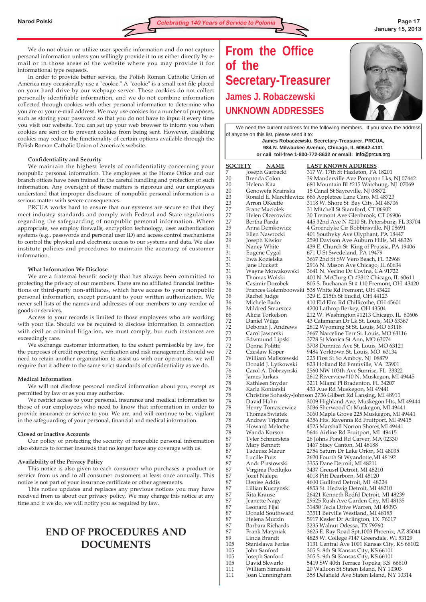We do not obtain or utilize user-specific information and do not capture personal information unless you willingly provide it to us either directly by email or in those areas of the website where you may provide it for informational type requests.

In order to provide better service, the Polish Roman Catholic Union of America may occasionally use a "cookie." A "cookie" is a small text file placed on your hard drive by our webpage server. These cookies do not collect personally identifiable information, and we do not combine information collected through cookies with other personal information to determine who you are or your e-mail address. We may use cookies for a number of purposes, such as storing your password so that you do not have to input it every time you visit our website. You can set up your web browser to inform you when cookies are sent or to prevent cookies from being sent. However, disabling cookies may reduce the functionality of certain options available through the Polish Roman Catholic Union of America's website.

# **Confidentiality and Security**

We maintain the highest levels of confidentiality concerning your nonpublic personal information. The employees at the Home Office and our branch offices have been trained in the careful handling and protection of such information. Any oversight of these matters is rigorous and our employees understand that improper disclosure of nonpublic personal information is a serious matter with severe consequences.

PRCUA works hard to ensure that our systems are secure so that they meet industry standards and comply with Federal and State regulations regarding the safeguarding of nonpublic personal information. Where appropriate, we employ firewalls, encryption technology, user authentication systems (e.g., passwords and personal user ID) and access control mechanisms to control the physical and electronic access to our systems and data. We also institute policies and procedures to maintain the accuracy of customer information.

### **What Information We Disclose**

We are a fraternal benefit society that has always been committed to protecting the privacy of our members. There are no affiliated financial institutions or third-party non-affiliates, which have access to your nonpublic personal information, except pursuant to your written authorization. We never sell lists of the names and addresses of our members to any vendor of goods or services.

Access to your records is limited to those employees who are working with your file. Should we be required to disclose information in connection with civil or criminal litigation, we must comply, but such instances are exceedingly rare.

We exchange customer information, to the extent permissible by law, for the purposes of credit reporting, verification and risk management. Should we need to retain another organization to assist us with our operations, we will require that it adhere to the same strict standards of confidentiality as we do.

# **Medical Information**

We will not disclose personal medical information about you, except as permitted by law or as you may authorize.

We restrict access to your personal, insurance and medical information to those of our employees who need to know that information in order to provide insurance or service to you. We are, and will continue to be, vigilant in the safeguarding of your personal, financial and medical information.

#### **Closed or Inactive Accounts**

Our policy of protecting the security of nonpublic personal information also extends to former insureds that no longer have any coverage with us.

# **Availability of the Privacy Policy**

This notice is also given to each consumer who purchases a product or service from us and to all consumer customers at least once annually. This notice is not part of your insurance certificate or other agreements.

This notice updates and replaces any previous notices you may have received from us about our privacy policy. We may change this notice at any time and if we do, we will notify you as required by law.

# **END OF PROCEDURES AND DOCUMENTS**

# **From the Office of the Secretary-Treasurer James J. Robaczewski UNKNOWN ADDRESSES**



We need the current address for the following members. If you know the address of anyone on this list, please send it to: **James Robaczewski, Secretary-Treasurer, PRCUA,** 

**984 N. Milwaukee Avenue, Chicago, IL 60642-4101 or call toll-free 1-800-772-8632 or email: info@prcua.org**

| <u>SOCIETY</u> | <b>NAME</b>                          | <u>LAST KNOWN ADDRESS</u>                                                      |
|----------------|--------------------------------------|--------------------------------------------------------------------------------|
| 7              | Joseph Garbacki                      | 317 W. 17th St Hazleton, PA 18201                                              |
| 20             | Brenda Colon                         | 39 Manderville Ave Pompton Lks, NJ 07442                                       |
|                |                                      |                                                                                |
| 20             | Helena Kita                          | 680 Mountain Bl #215 Watchung, NJ 07069                                        |
| 20             | Genowefa Krainska                    | 15 Canal St Sayreville, NJ 08872                                               |
| 23             | Ronald E. Marchlewicz                | 666 Appletree Lane Caro, MI 48723                                              |
| 23             | Arron OKeeffe                        | 3118 W. Shore St Bay City, MI 48706                                            |
| 27             | <b>Franc Maciolek</b>                | 31 Mitchell St Stamford, CT 06902                                              |
| 27             | Helen Olzerowicz                     | 30 Tremont Ave Glenbrook, CT 06906                                             |
| 27             | Bertha Parda                         | 445 32nd Ave N #210 St. Petersburg, FL 33704                                   |
| 29             | Anna Demkowicz                       | 4 Groendyke Cir Robbinsville, NJ 08691                                         |
| 29             | Ellen Nawrocki                       | 401 Southvky Ave Olyphant, PA 18447                                            |
| 29             | Joseph Kiwior                        | 2590 Davison Ave Auburn Hills, MI 48326                                        |
| 31             | Nancy White                          | 439 E. Church St King of Prussia, PA 19406                                     |
| 31             | Eugene Cygal                         | 671 U St Swedeland, PA 19479                                                   |
| 31             | Ewa Kozielska                        | 3667 2nd St SW Vero Beach, FL 32968                                            |
| 31             | Jane Duckett                         | 2916 N. Mason Ave Chicago, IL 60634                                            |
| 31             | Wayne Mowakowski                     | 3641 N. Vecino Dr Covina, CA 91722                                             |
| 33             | Thomas Wolski                        | 400 N. McClurg Ct #3312 Chicago, IL 60611                                      |
| 36             | Casimir Dorobek                      | 805 S. Buchanan St # 110 Fremont, OH 43420                                     |
| 36             |                                      | Frances Golemboowski 538 White Rd Fremont, OH 43420                            |
| 36             | Rachel Judge                         | 329 E. 215th St Euclid, OH 44123                                               |
| 36             | Michele Bado                         | 410 Eld Elm Rd Chillicothe, OH 45601                                           |
| 36             | Mildred Smarszcz                     | 4200 Lathrop Berkey, OH 43504                                                  |
| 66             | Alicia Torkelson                     | 212 W. Washington #1213 Chicago, IL 60606                                      |
| 72             | Daniel Wilga                         | 43 Catamaran Dr Lk St. Louis, MO 63367                                         |
| 72             | Deborah J. Andrews                   | 2812 Wyoming St St. Louis, MO 63118                                            |
| 72             | Carol Jaworski                       | 3667 Narceline Terr St. Louis, MO 63116                                        |
| 72<br>72       | Edwmund Lipski                       | 3728 St Monica St Ann, MO 63074                                                |
| 72             | Donna Politte                        | 3708 Dunnica Ave St. Louis, MO 63121                                           |
| 76             | Czeslaw Koper<br>William Maliszewski | 9484 Yorktown St. Louis, MO 63134<br>225 First St So Amboy, NJ 08879           |
| 76             | Donald J. Lytkowski                  | 823 Holland Rd Framville, VA 23901                                             |
| 76             | Carol A. Dobrzynski                  | 2560 NW 103th Ave Sunrise, FL 33322                                            |
| 78             | James Jurkas                         | 2612 Riverview#10 N. Muskegon, MI 49445                                        |
| 78             | Kathleen Snyder                      | 3211 Miami Pl Bradenton, FL 34207                                              |
| 78             | Karla Koniarski                      | 433 Aue Rd Muskegon, MI 49441                                                  |
| 78             |                                      | Christine Sohasky-Johnson 2736 Gilbert Rd Lansing, MI 48911                    |
| 78             | David Hahn                           | 3009 Highland Ave, Muskegon Hts, MI 49444                                      |
| 78             | Henry Tomasiewicz                    | 3036 Sherwood Ct Muskegon, MI 49441                                            |
| 78             | Thomas Swiatek                       | 3060 Maple Grove 225 Muskegon, MI 49441                                        |
| 78             | Andrew Trjchma                       | 4356 Hts. Ravenna Rd Fruitport, MI 49415                                       |
| 78             | Howard Meloche                       | 4525 Marshall Norton Shores,MI 49441                                           |
| 78             | Wanda Korson                         | 5644 Airline Rd Fruitport, MI 49415                                            |
| 87             | Tyler Schnursteis                    | 26 Johns Pond Rd Carver, MA 02330                                              |
| 87             | Mary Bennett                         | 1467 Stacy Canton, MI 48188                                                    |
| 87             | Tadeusz Mazur                        | 2754 Saturn Dr Lake Orion, MI 48035                                            |
| 87             | Lucille Putz                         | 2620 Fourth St Wyandotte, MI 48192                                             |
| 87             | Andr Piastowski                      | 3355 Dane Detroit, MI 48211                                                    |
| 87             | Virginia Pocilujko                   | 3437 Greusrl Detroit, MI 48210                                                 |
| 87             | Jozef Nalepa                         | 4018 Pitt Dearborn, MI 48120                                                   |
| 87             | Denise Addis                         | 4600 Guilford Detroit, MI 48224                                                |
| 87             | Lillian Kuczynski                    | 4853 St. Hedwig Detroit, MI 48210                                              |
| 87             | Rita Krause                          | 26421 Kenneth Redfd Detroit, MI 48239                                          |
| 87             | Jeanette Nagy                        | 29525 Rush Ave Garden City, MI 48135                                           |
| 87             | Leonard Fijal                        | 31450 Tecla Drive Warren, MI 48093                                             |
| 87             | Donald Southward                     | 33511 Berville Westland, MI 48185                                              |
| 87             | Helena Murzin                        | 5917 Kesler Dr Arlington, TX 76017                                             |
| 87             | Barbara Richards                     | 3235 Walnut Odessa, TX 79760                                                   |
| 87             | Frank Matyniak                       | 3625 E. Ray Road Spt.1003 Phoenix, AZ 85044                                    |
| 89             | Linda Brandt                         | 4825 W. College #147 Greendale, WI 53129                                       |
| 105            | Stanislawa Ferlas                    | 1131 Central Ave 1001 Kansas City, KS 66102                                    |
| 105            | John Sanford                         | 305 S. 8th St Kansas City, KS 66101                                            |
| 105<br>105     | Joseph Sanford<br>David Skwarlo      | 305 S. 9th St Kansas City, KS 66101                                            |
| 111            | William Simanski                     | 5419 SW 40th Terrace Topeka, KS 66610<br>20 Walloon St Staten Island, NY 10303 |
| 111            | Joan Cunningham                      | 358 Delafield Ave Staten Island, NY 10314                                      |
|                |                                      |                                                                                |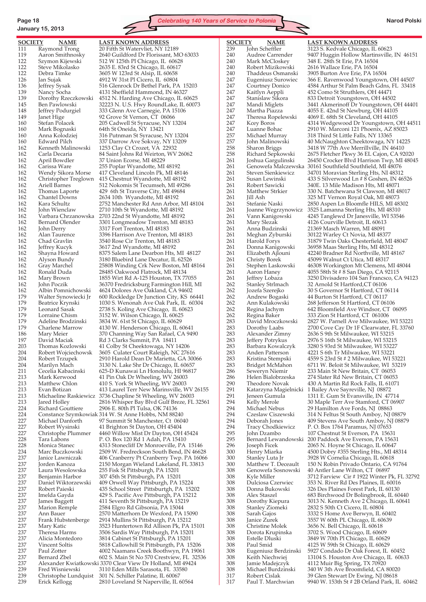# **January 15, 2013**

**SOCIETY NAME LAST KNOWN ADDRESS** 111 Raymond Trong 20 Fifth St Watervliet, NY 12189<br>119 Aaron Smithnosky 2640 Guildford Dr Florissant, M 122 Steve Mikolasko 2635 E. 83rd St Chicago, IL 60617 122 Debra Timke 3605 W 123rd St Alsip, IL 60658<br>126 Ian Sujak 4912 W 31st Pl Cicero, IL 60804 160 Mark Bognaski 64th St Oneida, NY 13421<br>160 Anna Kolodziej 316 Putnman St Syracuse, 162 Kenneth Malinowski 1253 Clay Ct Crozet, VA 22932 162 April Bowdler 37 Union Ecorse, MI 48229<br>162 Carissa Ware 255 Poplar Wyandotte, MI 162 Carissa Ware 255 Poplar Wyandotte, MI 48192 162 Chantel Downs 2634 10th Wyandotte, MI 48192<br>162 Kara Schultz 2752 Manchester Rd Ann Arbor, 162 Chad Gravlin 3540 Rose Cir Trenton, MI 48183<br>162 Jeffrey Kucyk 3617 2nd Wyandotte, MI 48192 179 Lorraine Chism 3152 W. Wilson Chicago, IL 60625<br>179 Adeline Brodzinski 3834 W. 61st St Chicago, IL 60629 224 Richard Gouttiere 2906 E. 80th Pl Tulsa, OK 74136<br>224 Constance Szymkowiak 314 W. St Anne Hobbs, NM 882 227 Robert Wysinski 41 Brighton St Dayton, OH 45404 237 Benjamin Harbor 307 45th St Pittsburgh, PA 15201 239 Christophe Lundquist 301 N. Schiller Palatine, IL 60067<br>239 Erick Kellogg 2810 Loveland St Naperville, IL 6

119 Aaron Smithnosky 2640 Guildford Dr Florissant, MO 63033<br>122 Szymon Kijewski 512 W 125th Pl Chicago, IL 60628 Szymon Kijewski 512 W 125th Pl Chicago, IL 60628 126 Jan Sujak 4912 W 31st Pl Cicero, IL 60804 136 Jeffrey Sysak 516 Glenrock Dr Bethel Park, PA 15203 139 Nancy Socha 4131 Sheffield Hammond, IN 46327<br>139 Dorothy Rzeczkowski 4512 N. Harding Ave Chicago, IL 60 4512 N. Harding Ave Chicago, IL 60625 145 Ben Pawlowski 32223 N. U.S. Hwy RoundLake, IL 60073<br>148 Jeffrey Podurgiel 333 Glenn Ave Carnegie, PA 15106 148 Jeffrey Podurgiel 333 Glenn Ave Carnegie, PA 15106<br>149 Janet Hige 92 Grove St Vernon, CT 06066 Fanet Hige 92 Grove St Vernon, CT 06066<br>
Stefan Polacek 205 Cadwell St Syracuse, NY 1 160 Stefan Polacek 205 Cadwell St Syracuse, NY 13204 316 Putnman St Syracuse, NY 13204 160 Edward Pilch 337 Darrow Ave Sokvay, NY 13209<br>162 Kenneth Malinowski 1253 Clay Ct Crozet, VA 22932 84 Saint Johns Rd Weirton, WV 26062 Wendy Sikora Morse 417 Cleveland Lincoln Pk, MI 48146 162 Christopher Treglown 415 Chestnut Wyandotte, MI 48192 162 Ariell Barnes 512 Nokomis St Tecumseh, MI 49286<br>162 Thomas Laporte 429 6th St Traverse City, MI 49684 162 Thomas Laporte 429 6th St Traverse City, MI 49684 162 Kara Schultz 2752 Manchester Rd Ann Arbor, MI 48104 2710 10th St Wyandotte, MI 48192 162 Varbara Chrzanowska 2703 22nd St Wyandotte, MI 48192 162 Bernard Olender 3301 Longmeadow Trenton, MI 48183<br>162 John Derry 3317 Fort Trenton, MI 48183 162 John Derry 3317 Fort Trenton, MI 48183 162 Alan Taurence 3396 Harrison Ave Trenton, MI 48183<br>162 Chad Gravlin 3540 Rose Cir Trenton, MI 48183 162 Jeffrey Kucyk 3617 2nd Wyandotte, MI 48192 162 Shayna Howard 8375 Salem Lane Dearbon Hts, MI 48127 162 Alyson Bundy 3180 Bluebird Lane Decatur, IL 62526<br>162 Gray Marchel 25808 Winding Crk New Boston, MI 162 Gray Marchel 25808 Winding Crk New Boston, MI 48164 162 Ronald Duda 28485 Oakwood Flatrock, MI 48134 162 Mary Brown 1855 Wirt Rd A-125 Houston, TX 77055<br>162 John Poczik 36370 Fredricksburg Farmington Hill, N 162 John Poczik 36370 Fredricksburg Farmington Hill, MI 162 Albin Pomnichowski 4624 Dolores Ave Oakland, CA 94602 179 Walter Synowiecki Jr 600 Rockledge Dr Junction City, KS 66441<br>179 Beatrice Krynski 1030 S. Wenonah Ave Oak Park, IL 60304 Beatrice Krynski 1030 S. Wenonah Ave Oak Park, IL 60304<br>Leonard Sasak 2738 S. Koling Ave Chicago, IL 60623 179 Leonard Sasak 2738 S. Koling Ave Chicago, IL 60623<br>179 Lorraine Chism 3152 W. Wilson Chicago, IL 60625 3834 W. 61st St Chicago, IL 60629 179 Charlene Marrow 4130 W. Henderson Chicago, IL 60641 186 Mary Meier 370 Channing Way San Rafael, CA 9490<br>197 David Maciak Rd 3 Clarks Summit, PA 18411 Rd 3 Clarks Summit, PA 18411 203 Thomas Kozlowski 41 Colby St Cheektowaga, NY 14206<br>204 Robert Wojciechowsk 3605 Culater Court Raleigh, NC 2763 204 Robert Wojciechowsk 3605 Culater Court Raleigh, NC 27616 204 Robert Trzupek 2910 Harold Dean Dr Marietta, GA 30066 204 Marilyn Mach 3130 N. Lake Shr Dr Chicago, IL 60657<br>211 Cecelia Kabacinski 625-D Kunawai Ln Honolulu, HI 9681 211 Cecelia Kabacinski 625-D Kunawai Ln Honolulu, HI 96817 213 Mark Kerwood 41 Pin Oak Dr Wheeling, WV 26003 213 Matthew Chlon 410 S. York St Wheeling, WV 26003<br>213 Evan Botizan 413 Laurel Terr New Marinsville, W 213 Evan Botizan 113 Laurel Terr New Marinsville, WV 26155<br>213 Michaeline Raskiewicz 3736 Chapline St Wheeling, WV 26003 Michaeline Raskiewicz 3736 Chapline St Wheeling, WV 26003 213 Jared Holley 2816 Whisper Bay Blvd Gulf Breze, FL 32561<br>224 Richard Gouttiere 2906 E. 80th Pl Tulsa, OK 74136 224 Constance Szymkowiak 314 W. St Anne Hobbs, NM 88240 227 Michael Danforth 97 Summit St Manchester, Ct 06040<br>227 Robert Wysinski 41 Brighton St Dayton, OH 45404 4460 Willow Mist Dr Dayton, OH 45424 228 Tara Labons P. O. Box 120 Rd 1 Adah, PA 15410<br>228 Monica Stanec 4313 Stonecliff Dr Monroeville, PA 228 Monica Stanec 4313 Stonecliff Dr Monroeville, PA 15146<br>234 Marc Buczkowski 2509 W. Fredreckson South Bend, IN 4662 2509 W. Fredreckson South Bend, IN 46628 237 Janice Lawniczak 406 Cranberry Pt Cranberry Twp. PA 16066 237 Jorden Kanoza 2150 Morgan Wieland Lakeland, FL 33813 237 Laura Wesolowska 255 Fisk St Pittsburgh, PA 15201 237 Daniel Wiktorzewski 409 Orwell Way Pittsburgh, PA 15224 435 School Street Pittsburtgh, PA 15202 237 Imelda Gayda 429 S. Pacific Ave Pittsburgh, PA 15212 411 Seventh St Pittsburgh, PA 15219 237 Marion Remple 2584 Elgro Rd Gibsonia, PA 15044 237 Ann Bauer 2570 Matterhorn Dr Wexford, PA 15090<br>237 Frank Hubstenberge 2914 Mullins St Pittsburgh, PA 15212 237 Frank Hubstenberge 2914 Mullins St Pittsburgh, PA 15212 3523 Huntertown Rd Allison Pk, PA 15101 237 Theresa Harms 3506 Sardis Way Pittsburgh, PA 15201 237 Alicia Montedoro 3814 Cabinet St Pittsburgh, PA 15201 5818 Callowhill St Pittsburgth, PA 15206 237 Paul Zotter 4002 Naamans Creek Boothwyn, PA 19061 237 Bernard Zbel 602 S. Main St No 570 Crestview, FL 32536<br>237 Alexander Kwiatkowski 3370 Clear View Dr Holland, MI 49424 237 Alexander Kwiatkowski 3370 Clear View Dr Holland, MI 49424 239 Fred Wisniewski 3110 Eden Mills Sarasota, FL 33580<br>239 Christophe Lundquist 301 N. Schiller Palatine, IL 60067 2810 Loveland St Naperville, IL 60564



239 John Scheffler 3123 S. Kedvale Chicago, IL 60623<br>240 Audree Carrender 9407 Huggin Hollow Martinsville, 240 Audree Carrender 9407 Huggin Hollow Martinsville, IN 46151 240 Mark McCloskey 348 E. 28th St Erie, PA 16504 240 Thaddeus Osmanski 3905 Burton Ave Erie, PA 16504 366 E. Ravenwood Youngstown, OH 44507 247 Courtney Donico 4584 Arthur St Palm Beach Gdns, FL 33418<br>247 Kaitlyn Aeppli 452 Como St Struthlers, OH 44471 247 Kaitlyn Aeppli 452 Como St Struthlers, OH 44471 833 Detroit Youngstown, OH 44502 247 Mandi Miglets 3441 Akmerinoff Dr Youngstown, OH 44401<br>247 Martha Piazza 4055 E. 42nd St Newburg, OH 44105 247 Martha Piazza 4055 E. 42nd St Newburg, OH 44105 4069 E. 68th St Cleveland, OH 44105 247 Kcey Boros 4314 Wedgewood Dr Youngstown, OH 44511 247 Luanne Bohac 2910 W. Marconi 121 Phoenix, AZ 85023<br>257 Michael Murray 318 Third St Little Falls, NY 13365 318 Third St Little Falls, NY 13365 257 John Malinowski 40 McNaughton Cheektowaga, NY 14225 258 Sharon Briggs 3418 W 77th Ave Merrillville, IN 46410<br>258 Richard Sepkowski 2675 Fletcher Pkwy 36 EL Cajon, CA 92 258 Richard Sepkowski 2675 Fletcher Pkwy 36 EL Cajon, CA 92020 261 Joshua Gargulinski 26450 Crocker Blvd Harrison Twp, MI 48045 261 Genowefa Malczewska 30161 Southfield Southfield, MI 48076 261 Steven Sienkiewicz 34701 Moravian Sterling Hts, NI 48312 261 Susan Lewinski 433 S Silverwood Ln # 8 Goshen, IN 46526<br>261 Robert Sawicki 340E. 13 Mile Madison Hts, MI 48071 261 Robert Sawicki 340E. 13 Mile Madison Hts, MI 48071 330 N. Batchewana St Clawson, MI 48017 261 Jill Ash 325 MT Vernon Royal Oak, MI 48073 261 Stefanie Naski 2850 Aspen Ln Bloomfle HILS, MI 48302 3525 Lamanna Sterling Hts, MI 48310 261 Vann Kanigowski 4245 Tanglewd Dr Janesville, WI 53546 261 Mary Slezak 4126 Courville Detroit, IL 60613 261 Anna Budzinski 21369 Masch Warren, MI 48091 261 Meghan Zyburski 30122 Warley Ct Novia, MI 48377 261 Harold Forys 31879 Twin Oaks Chesterfield, MI 48047<br>261 Donna Kanigowski 36958 Maas Sterling Hts, MI 48312 261 Donna Kanigowski 36958 Maas Sterling Hts, MI 48312 261 Elizabeth Ajlouni 42240 Bradner Rd Northville, MI 48167 261 Christy Borek 45099 Walnut Ct Utica, MI 48317<br>261 Stephen Laskowski 46308 Workington Mt Clemens, I 46308 Workington Mt Clemens, MI 48044 261 Aaron Haney 4055 58th St # 8 San Diego, CA 92115<br>261 Ieffrev Lobaza 3250 Divisadero 104 San Francsco, C 261 Jeffrey Lobaza 3250 Divisadero 104 San Francsco, CA 94123<br>262 Stanley Strlmach 32 Arnold St Hartford, CT 06106 32 Arnold St Hartford,CT 06106 262 Jozefa Szerejko 30 S Governor St Hartford, CT 06114 262 Andrew Bogaski 44 Burton St Hartford, CT 06117 268 Jefferson St Hartford, CT 06106 262 Regina Jachym 642 Bloomfield Ave Windsor, CT 06095<br>262 Regina Baker 333 Zion St Hartford, CT 061006 262 Regina Baker 333 Zion St Hartford, CT 061006 283 David Mroczkowski 2827 W. Parnell Ave Milwaukee, WI 53221 283 Dorothy Laabs 2700 Cove Cay Dr 1F Clearwater, FL 33760<br>283 Alexander Zimny 2636 S 9th St Milwaukee, WI 53215 283 Alexander Zimny 2636 S 9th St Milwaukee, WI 53215 2976 S 16th St Milwaukee, WI 53215 283 Barbara Kowalczyk 3280 S 93rd St Milwaukee, WI 53227 283 Anden Patterson 4221 S 6th Tr Milwaukee, WI 53221 4559 S 23rd St # 2 Milwaukee, WI 53221 283 Bridget McMahon 6711 W. Beloit St Milwaukee, WI 53219<br>286 Seweryn Niemir 233 Main St New Britain, CT 06053 286 Seweryn Niemir 233 Main St New Britain, CT 06053<br>286 Helen Bialobrzeska 274 Slater Rd New Britain, CT 06053 274 Slater Rd New Britain, CT 06053 290 Theodore Novak 430 A Martin Rd Rock Falls, IL 61071 291 Katarzyna Magielnicki 1 Bailey Ave Sayreville, NJ 08872 Jeneen Gumula 1311 E. Gum St Evansville, IN 47714 294 Kelly Merole 30 Maple Terr Ave Stamford, CT 06907<br>294 Michael Nebus 29 Hamilton Ave Fords, NJ 08863 294 Michael Nebus 29 Hamilton Ave Fords, NJ 08863 314 N Feltus St South Amboy, NJ 08879 294 Deborah Jones 409 Stevens Ave South Amboy, NJ 08879<br>294 Tracy Chodkiewicz P. O. Box 1764 Paramus, NJ 07653 294 Tracy Chodkiewicz P. O. Box 1764 Paramus, NJ 07653 107 Chestnut St Everson, PA 15631 295 Bernard Lewandowski 200 Paddock Ave Everson, PA 15631<br>296 Joseph Ficek 2065 N. Hoyne St Chicago, IL 60647 296 Joseph Ficek 2065 N. Hoyne St Chicago, IL 60647<br>200 Henry Miarka 4500 Dobry #355 Sterling Hts., MI 48 4500 Dobry #355 Sterling Hts., MI 48314 300 Stanley Luta Jr 3928 W Cornelia Chicago, IL 60618<br>300 Matthew T. Deceault 150 N Robin Privado Ontario, CA 9 300 Matthew T. Deceault 150 N Robin Privado Ontario, CA 91764 308 Genowefa Sosnowski 40 Antler Lane Wilton, CT 06897 308 Kyle Miller 3712 Farview Cir # 1922 Winter Pk, FL 32792 308 Dulciosa Czerwiec 353 N. River Rd Des Plaines, IL 60016 326 Des Plaines Forest Park, IL 60130 308 Alex Staszel 683 Birchwood Dr Bolingbrook, IL 60440 308 Dorothy Kiepura 3013 N. Kenneth Ave 2 Chicago, IL 60641 308 Stanley Ziomeki 2832 S 50th Ct Cicero, IL 60804 308 Sarah Gajos 3332 S Home Ave Berwyn, IL 60402 308 Janice Zurek 3557 W 60th PL Chicago, IL 60639 3656 N. Bell Chicago, IL 60618 308 Dorota Krupinska 3702 S. Wood Chicago, IL 60609 308 Estelle Dluski 3849 W 70th Pl Chicago, IL 60629 4125 W 59th St Chicago, IL 60629 308 Eugeniusz Berdzinski 5927 Condado Dr Oak Forest, IL 60452 308 Keith Niechwiej 13104 S. Houston Ave Chicago, IL 60633 4112 Muir Big Spring, TX 70920 308 Michael Burdzinski 340 W 3th Ave Broomfield, CA 80020 317 Robert Cislak 39 Glen Stewart Dr Ewing, NJ 08618 9940 W. 153th St # 2B Orland Park, IL 60462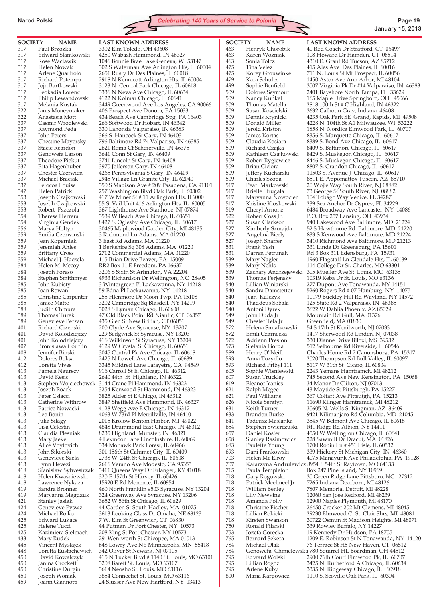

317 Paul Brzozka 3302 Elm Toledo, OH 43608 337 Theodore Piekut 3741 Lincoln St Gary, IN 46408<br>337 Rita Hagenhuber 3970 Jefferson Gary, IN 46408 337 Rita Hagenhuber 3970 Jefferson Gary, IN 46408 359 Jean Koperniak 3 East Rd Adams, MA 01220 418 Lawrence Nykaza 15920 E Rd Monence, IL 60954 450 Joseph Woniak 3854 Connectict St. Louis, MO 63116

**SOCIETY NAME LAST KNOWN ADDRESS** 317 Edward Slamkowski 4250 Wabash Hammond, IN 46327 317 Rose Waclawik 1046 Bonnie Brae Lake Geneva, WI 53147 317 Helen Nowak 302 S Waterman Ave Arlington Hts, IL 60004 317 Arlene Quartrolo 2651 Rusty Dr Des Plaines, IL 60018 2918 N Kennicott Arlington Hts, IL 60004 317 Jojn Bartkowski 3123 N. Central Park Chicago, IL 60618 317 Leokadia Lorenc 3336 N Neva Ave Chicago, IL 60634 Philip Lewandowski 4122 N Kolmar Chicago, IL 60641 317 Melania Kustak 3449 Greenwood Ave Los Angeles, CA 90066 322 Janis Moneymaker 406 Prospect Ave Donora, PA 15033 434 Beach Ave Cambridge Spg, PA 16403 337 Casmir Wroblewski 266 Softwood Dr Hobart, IN 46342 337 Raymond Peda 330 Lahonda Valparaiso, IN 46383 337 John Peters 366 S Hancock St Gary, IN 46403 337 Chestine Mayersky 796 Baltimore Rd 74 Valpariso, IN 46385 337 Stacie Reardon 2621 Roma Ct Schererville, IN 46375 3641 Conn St Gary, IN 46409 4265 Pennsylvania S Gary, IN 46409 337 Michael Braciak 2945 Village Ln Granite City, IL 62040 337 Letocoa Louise 350 S Madison Ave # 209 Pasadena, CA 91101 257 Washington Blvd Oak Park, IL 60302 353 Joseph Czajkowski 417 W Miner St # 11 Arlington Hts, Il 6000 353 Joseph Czajkowski 55 S. Vail Unit 416 Arlington Hts, IL 60005 367 Lighthouse Ave Stanhope, NJ 07874 354 Therese Herrera 3539 W Beach Ave Chicago, IL 60651 354 Virginia Gendek 8427 S. Oglesby Ave Chicago, IL 60617 356 Marya Holtyn 30465 Maplewood Garden City, MI 48135 359 Emilia Czerwinski 3 Richmond Ln Adams. MA 01220 359 Jeremiah Ahles 1 Berkshire Sq 308 Adams, MA 01220 359 Brittany Cross 2712 Commercial Adams, MA 01220 359 Michael J. Haczela 115 Brian Drive Beaver, PA 15009 RR2 Box 11 E Freedom, PA 16637 384 Joseph Foreso 3206 S Sixth St Arlington, VA 22204 384 Stephen Smithmyer 4933 Richardson Dr Wellington, NC 28405 3 Wintergreen Pl Lackawanna, NY 14218 385 Joan Rowan 59 Edna Pl Lackawanna, NY 14218 385 Christine Carpenter 255 Hlenmore Dr Moon Twp, PA 15108 385 Janice Matte 3202 Cambridge Sq Blasdell, NY 14219 388 Judith Chmura 3028 S Lyman Chicago, IL 60608 389 Thomas Turek 47 Old Black Point Rd Niantic, CT 06357<br>389 Genevieve Perzan 435 Glen St New Britian, CT 06051 Genevieve Perzan 435 Glen St New Britian, CT 06051 401 Richard Cizenski 200 Clyde Ave Syracuse, NY 13207 401 David Kolodziejczy 229 Sedgwick St Syracuse, NY 13203 401 John Kolodziejczy 416 Wilkinson St Syracuse, NY 13204 407 Bronislawa Courtin 4129 W Crystal St Chicago, IL 60651 408 Jennifer Binski 3045 Central Pk Ave Chicago, IL 60618 2425 N Lowell Ave Chicago, IL 60639 412 Loretta Vives 3345 Mildred Lane Lafayetre, CA 94549 413 Pamela Naurscy 916 Carroll St E. Chicago, IL 46312 David Kesic 2640 44th St Highland, IN 46322 413 Stephen Wojciechowsk 3144 Crane Pl Hammond, IN 46323 413 Joseph Roark 3254 Kenwood St Hammond, IN 46323<br>413 Peter Cslacci 3825 Alder St E Chicgo, IN 46312 Peter Cslacci 3825 Alder St E Chicgo, IN 46312 413 Catherine Withrow 3847 Sheffield Ave Hammond, IN 46327 413 Patrice Nowacki 4128 Wegg Ave E Chicago, IN 46312 Leo Bonin 4063 W 73rd Pl Merrillville, IN 46410<br>
Julia Silagy 2015 Krolow Benton Harbor, MI 4902 413 Julia Silagy 2015 Krolow Benton Harbor, MI 49022 413 Lisa Celestin 4848 Drummond East Chicago, IN 46312 8235 Highland Munster, IN 46321 413 Mary Jaekel 4 Lexmoor Lane Lincolnshire, IL 60069 413 Alice Voytovich 334 Mohawk Park Forest, IL 60466<br>413 John Sikorski 301 156th St Calumet City, IL 6040 301 156th St Calumet City, IL 60409 413 Genevieve Szela 2738 W. 24th St Chicago, IL 60608 413 Lynn Hevezi 2616 Verano Ave Modesto, CA 95355 3411 Queens Way Dr Erlanger, KY 41018 418 Helen Kwasniewski 320 E 157th St Harvey, IL 60426 Sandra Bronner 460 North Franklin #503 Syracuse, NY 13204 419 Maryanna Magdzuk 324 Greenway Ave Syracuse, NY 13206 3652 W 56th St Chicago, IL 60629 424 Genevieve Pyswz 44 Garden St South Hadley, MA 01075 424 Michael Rojko 3613 Looking Glass Dr Omaha, NE 68123 425 Edward Lukacs 7 W. Elm St Greenwich, CT 06830<br>425 Helene Tucci 44 Putman Dr Port Chester, NY 10 44 Putman Dr Port Chester, NY 10573 425 Kazimiera Stelmach 208 King St Port Chester, NY 10573 433 Mary Rudek 29 Wentworth St Chicopee, MA 01013 648 Lowry Ave NE Minneapolis, MN 55418 448 Loretta Eustachewich 342 Oliver St Newark, NJ 07105<br>450 David Kowalczyk 415 N Tucker Blvd #1140 St. Lo 450 David Kowalczyk 415 N Tucker Blvd # 1140 St. Louis, MO 63101 3208 Barett St. Louis, MO 63107 450 Christine Durgin 3614 Neosho St. Louis, MO 63116<br>450 Joseph Woniak 3854 Connectict St. Louis, MO 631

24 Slusser Ave New Hartford, NY 13413

**SOCIETY NAME LAST KNOWN ADDRESS**

463 Henryk Chorobik 40 Red Coach Dr Stratford, CT 06497 463 Karen Wozniak 108 Howard Dr Hamden, CT 06514 4310 E. Grant Rd Tucson, AZ 85712 475 Tina Velez 415 Ales Ave Des Plaines, IL 60016<br>475 Korey Grouwinkel 711 N. Louis St Mt Prospect, IL 6005 475 Korey Grouwinkel 711 N. Louis St Mt Prospect, IL 60056 1450 Astor Ave Ann Arbor, MI 48104 499 Sophie Benfield 3007 Virginia Pk Dr #14 Valparaiso, IN 46383 509 Dolores Seymour 2401 Bayshore North Tampa, FL 33629 165 Maple Drive Springboro, OH 45066 509 Thomas Matella 2818 100th St # C Highland, IN 46322 509 Susan Koscielski 3632 Calhoun Gray, Indiana 46408 4235 Oak Park SE Grand, Rapids, MI 49508 509 Donald Miller 4228 N. 104th St A1 Milwaukee, WI 53222 509 Jerold Kriston 1858 N. Nordica Elmwood Park, IL 60707 509 James Kortas 8356 S. Marquette Chicago, IL 60617 509 Claudia Kosiara 8389 S. Bond Ave Chicago, IL 60617 509 Richard Czajka 8409 S. Baltimore Chicago, IL 60617 8429 S. Muskegon Chicago, IL 60617 509 Robert Rygiewicz 8446 S. Muskegon Chicago, IL 60617 509 Brian Ciciora 8807 S. Crandon Chicago, IL 60617 11503 S. Avenue J Chicago, IL 60617 509 Charles Szopa 8511 E. Appomattox Tuscon, AZ 85710<br>517 Pearl Markowski 20 Wojie Way South River, NJ 08882 517 Pearl Markowski 20 Wojie Way South River, NJ 08882 73 George St South River, NJ 08882 517 Maryanna Nowocien 104 Tobago Way Venice, FL 34287 517 Kristine Kloskowski 239 Sea Anchor Dr Osprey, FL 34229 519 Cheryl Arnone 6484 Broadway Ave Lancaster, NY 14086 522 Robert Coss Jr. P.O. Box 257 Lansing, OH 43934 527 Susan Clarkson 940 Lakewood Ave Baltimore, MD 21224 52 S Hawthorne Rd Baltimore, MD 21220 527 Angelina Bierly 833 S Kenwood Ave Baltimore, MD 21224 527 Joseph Shaffer 3410 Richmond Ave Baltimore, MD 21213 531 Frank Yesh 331 Linda Dr Greensburg, PA 15601 531 Darren Petrunak Rd 3 Box 311 Edensburg, PA 15931 539 Mary Nagler 1960 Flagstaff Ln Glendale Hts, IL 60139<br>539 Mary Nehls 114 College Dr St. Charles, MO 63301 114 College Dr St. Charles, MO 63301 539 Zachary Andrzejewski 305 Mueller Ave St. Louis, MO 63135 539 Thomas Perjensky 10319 Reba Dr St. Louis, MO 63136 277 Dupont Ave Tonawanda, NY 14151 540 Sandra Damstetter 5260 Rogers Rd # 07 Hamburg, NY 14075 540 Jean Kulczyk 10179 Buckley Hill Rd Wayland, NY 14572<br>540 Thaddeus Sobala 125 State Rd 2 Valparaiso, IN 46385 125 State Rd 2 Valparaiso, IN 46385 540 Antoni Dyrek 3622 W Dahlia Phoenix, AZ 85029 549 John Duda Jr Mountain Rd Gull, MA 01376<br>549 Chester Tela Jr Greenfield, MA 01830 Greenfield, MA 01830 572 Helena Smialkowski 54 S 17th St Kenilworth, NJ 07033 572 Emili Czarnecka 1417 Sherwood Rd Linden, NJ 07038 330 Dianne Drive Biloxi, MS 39532 573 Stefania Fiorda 512 Selbourne Rd Riverside, IL 60546<br>589 Henry O'Neill Charles Home Rd 2 Canonsburg, PA 589 Henry O' Neill Charles Home Rd 2 Canonsburg, PA 15317 593 Anna Tozydlo 2020 Thompson Rd Bull Valley, IL 60097 593 Richard Pribyl 111 5117 W 31th St Cicero, IL 60804 605 Sophie Wisniewski 2243 Yemans Hamtramck, MI 48212 745 Second Ave New Kensington, PA 15068 619 Eleanor Yanics 34 Manor Dr Clifton, NJ 07013 621 Ralph Mcgee 43 Maytide St Pittsburgh, PA 15227 367 Coltart Ave Pittsutgh, PA 15213 626 Nicole Serafyn 11690 Kilnger Hamtramck, MI 48212 631 Keith Turner 30605 N. Wells St Kingman, AZ 86409 9421 Kilimanjaro Rd Columbia, MD 21045 641 Tadeusz Maslanka 3545 W Belmont Ave Chicago, IL 60618 654 Stephen Swierczuski Rt1 Ridge Rd Albion, NY 14411 Daniel Koster 4550 W Wellington Chicago, IL 60641 658 Stanley Rasimowicz 228 Sawmill Dr Dracut, MA 01826 683 Paulette Young 1700 Robin Ln # 451 Lisle, IL 60532 339 Hickory St Michigan City, IN 46360 703 Helen Mc Elroy 4075 Manayunk Ave Philadelphia, PA 19128 707 Katarzyna Andrulewicz 8954 E 54th St Raytown, MO 64133 Paula Templeton Box 247 Pine Island, NY 10969 718 Gary Rogowski 30 Green Ridge Lane Pittsboro, NC 27312 718 Patrick Mcelmeel Jr 7265 Indiana Dearborn, MI 48126 William Benley 7807 Memorial Detroit, MI 48228 718 Lily Newvine 12060 San Jose Redford, MI 48239 718 Amanda Polly 12900 Naples Plymouth, MI 48170 718 Christine Fischer 26450 Crocker 202 Mt Clemens, MI 48045 718 Lillian Rokicki 29230 Elmwood Ct St. Clair Shrs, MI 48081 718 Kirsten Swanson 30722 Osmun St Madison Heights, MI 48071 339 Rowley Buffalo, NY 14227 753 Jozefa Gorecka 19 Kennedy Dr Hudson, PA 18705 765 Bernard Sekera 1209 E. Robinson St N Tonawanda, NY 14120 76 Terrace St H5 New Haven, CT 06512 784 Genowefa Chmielewska 780 Squirrel HL Boardman, OH 44512 795 Edward Wolski 2900 76th Court Elmwood Pk, IL 60707 3425 N. Rutherford A Chicago, IL 60634 795 Arlene Kuby 3335 N. Ridgeway Chicago, IL 60918 1110 S. Scoville Oak Park, IL 60304